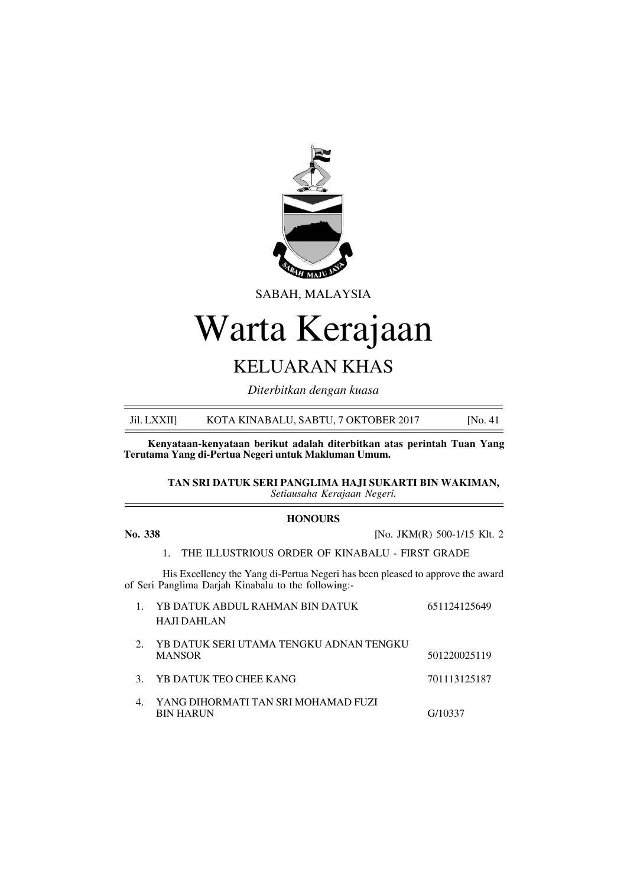

SABAH, MALAYSIA

# Warta Kerajaan

# KELUARAN KHAS

*Diterbitkan dengan kuasa*

Jil. LXXII] KOTA KINABALU, SABTU, 7 OKTOBER 2017 [No. 41]

**Kenyataan-kenyataan berikut adalah diterbitkan atas perintah Tuan Yang Terutama Yang di-Pertua Negeri untuk Makluman Umum.**

> **TAN SRI DATUK SERI PANGLIMA HAJI SUKARTI BIN WAKIMAN,** *Setiausaha Kerajaan Negeri.*

#### **HONOURS**

**No. 338** [No. JKM(R) 500-1/15 Klt. 2

1. THE ILLUSTRIOUS ORDER OF KINABALU - FIRST GRADE

His Excellency the Yang di-Pertua Negeri has been pleased to approve the award of Seri Panglima Darjah Kinabalu to the following:-

|                | YB DATUK ABDUL RAHMAN BIN DATUK<br>HAJI DAHLAN           | 651124125649 |
|----------------|----------------------------------------------------------|--------------|
| 2.             | YB DATUK SERI UTAMA TENGKU ADNAN TENGKU<br><b>MANSOR</b> | 501220025119 |
|                | 3. YB DATUK TEO CHEE KANG                                | 701113125187 |
| $\mathbf{4}$ . | YANG DIHORMATI TAN SRI MOHAMAD FUZI<br><b>BIN HARUN</b>  | G/10337      |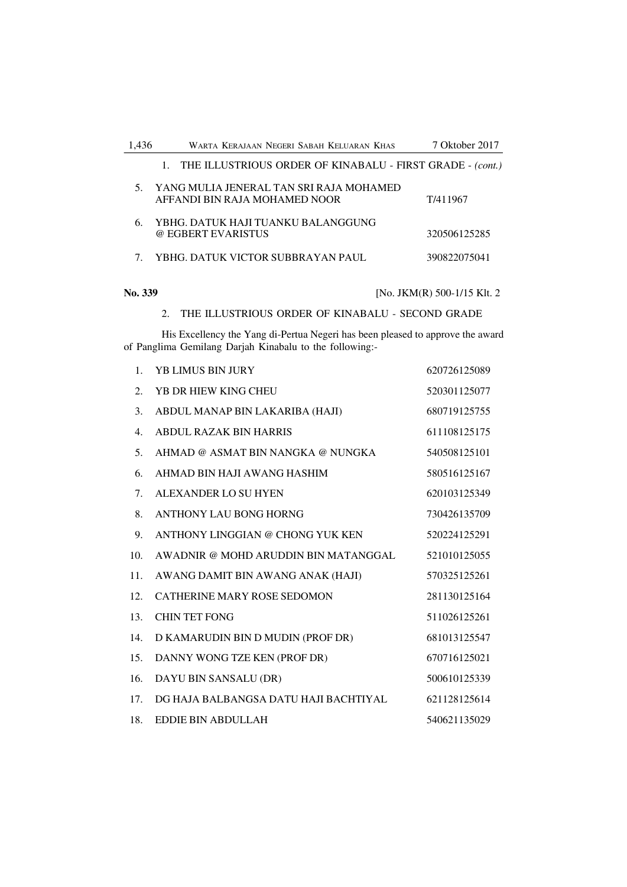| .436 | WARTA KERAJAAN NEGERI SABAH KELUARAN KHAS                                | 7 Oktober 2017 |
|------|--------------------------------------------------------------------------|----------------|
|      | 1. THE ILLUSTRIOUS ORDER OF KINABALU - FIRST GRADE - (cont.)             |                |
|      | YANG MULIA JENERAL TAN SRI RAJA MOHAMED<br>AFFANDI BIN RAJA MOHAMED NOOR | T/411967       |
| 6.   | YBHG. DATUK HAJI TUANKU BALANGGUNG<br>@ EGBERT EVARISTUS                 | 320506125285   |
|      | YBHG. DATUK VICTOR SUBBRAYAN PAUL                                        | 390822075041   |

**No. 339** [No. JKM(R) 500-1/15 Klt. 2

2. THE ILLUSTRIOUS ORDER OF KINABALU - SECOND GRADE

His Excellency the Yang di-Pertua Negeri has been pleased to approve the award of Panglima Gemilang Darjah Kinabalu to the following:-

| 1.  | <b>YB LIMUS BIN JURY</b>              | 620726125089 |
|-----|---------------------------------------|--------------|
| 2.  | YB DR HIEW KING CHEU                  | 520301125077 |
| 3.  | ABDUL MANAP BIN LAKARIBA (HAJI)       | 680719125755 |
| 4.  | <b>ABDUL RAZAK BIN HARRIS</b>         | 611108125175 |
| 5.  | AHMAD @ ASMAT BIN NANGKA @ NUNGKA     | 540508125101 |
| 6.  | AHMAD BIN HAJI AWANG HASHIM           | 580516125167 |
| 7.  | ALEXANDER LO SU HYEN                  | 620103125349 |
| 8.  | <b>ANTHONY LAU BONG HORNG</b>         | 730426135709 |
| 9.  | ANTHONY LINGGIAN @ CHONG YUK KEN      | 520224125291 |
| 10. | AWADNIR @ MOHD ARUDDIN BIN MATANGGAL  | 521010125055 |
| 11. | AWANG DAMIT BIN AWANG ANAK (HAJI)     | 570325125261 |
| 12. | <b>CATHERINE MARY ROSE SEDOMON</b>    | 281130125164 |
| 13. | <b>CHIN TET FONG</b>                  | 511026125261 |
| 14. | D KAMARUDIN BIN D MUDIN (PROF DR)     | 681013125547 |
| 15. | DANNY WONG TZE KEN (PROF DR)          | 670716125021 |
| 16. | DAYU BIN SANSALU (DR)                 | 500610125339 |
| 17. | DG HAJA BALBANGSA DATU HAJI BACHTIYAL | 621128125614 |
| 18. | <b>EDDIE BIN ABDULLAH</b>             | 540621135029 |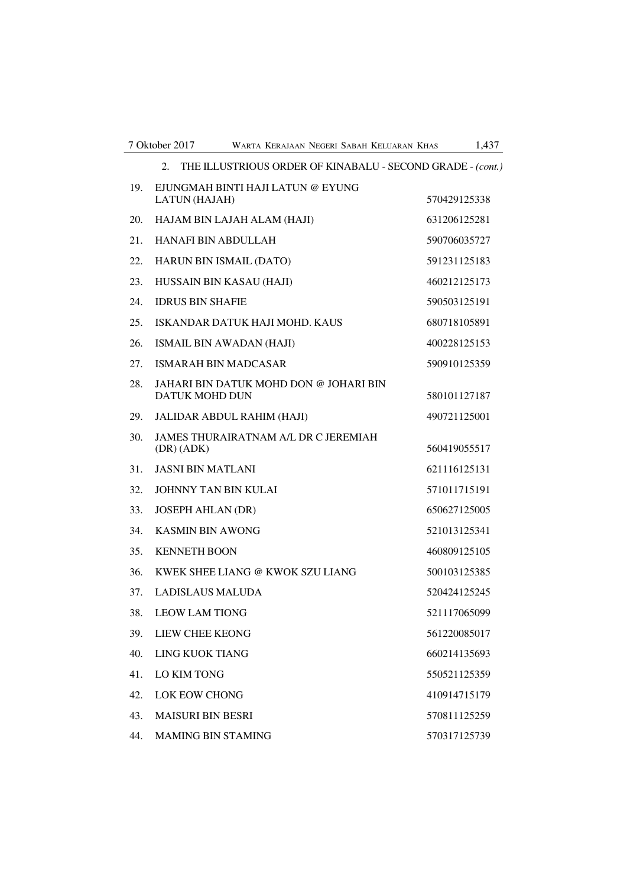|     | THE ILLUSTRIOUS ORDER OF KINABALU - SECOND GRADE - (cont.)<br>2. |              |
|-----|------------------------------------------------------------------|--------------|
| 19. | EJUNGMAH BINTI HAJI LATUN @ EYUNG<br>LATUN (HAJAH)               | 570429125338 |
| 20. | HAJAM BIN LAJAH ALAM (HAJI)                                      | 631206125281 |
| 21. | <b>HANAFI BIN ABDULLAH</b>                                       | 590706035727 |
| 22. | HARUN BIN ISMAIL (DATO)                                          | 591231125183 |
| 23. | HUSSAIN BIN KASAU (HAJI)                                         | 460212125173 |
| 24. | <b>IDRUS BIN SHAFIE</b>                                          | 590503125191 |
| 25. | ISKANDAR DATUK HAJI MOHD. KAUS                                   | 680718105891 |
| 26. | <b>ISMAIL BIN AWADAN (HAJI)</b>                                  | 400228125153 |
| 27. | <b>ISMARAH BIN MADCASAR</b>                                      | 590910125359 |
| 28. | JAHARI BIN DATUK MOHD DON @ JOHARI BIN<br><b>DATUK MOHD DUN</b>  | 580101127187 |
| 29. | JALIDAR ABDUL RAHIM (HAJI)                                       | 490721125001 |
| 30. | JAMES THURAIRATNAM A/L DR C JEREMIAH<br>(DR) (ADK)               | 560419055517 |
| 31. | <b>JASNI BIN MATLANI</b>                                         | 621116125131 |
| 32. | <b>JOHNNY TAN BIN KULAI</b>                                      | 571011715191 |
| 33. | <b>JOSEPH AHLAN (DR)</b>                                         | 650627125005 |
| 34. | <b>KASMIN BIN AWONG</b>                                          | 521013125341 |
| 35. | <b>KENNETH BOON</b>                                              | 460809125105 |
| 36. | KWEK SHEE LIANG @ KWOK SZU LIANG                                 | 500103125385 |
| 37. | <b>LADISLAUS MALUDA</b>                                          | 520424125245 |
| 38. | <b>LEOW LAM TIONG</b>                                            | 521117065099 |
| 39. | LIEW CHEE KEONG                                                  | 561220085017 |
| 40. | LING KUOK TIANG                                                  | 660214135693 |
| 41. | <b>LO KIM TONG</b>                                               | 550521125359 |
| 42. | <b>LOK EOW CHONG</b>                                             | 410914715179 |
| 43. | <b>MAISURI BIN BESRI</b>                                         | 570811125259 |
| 44. | MAMING BIN STAMING                                               | 570317125739 |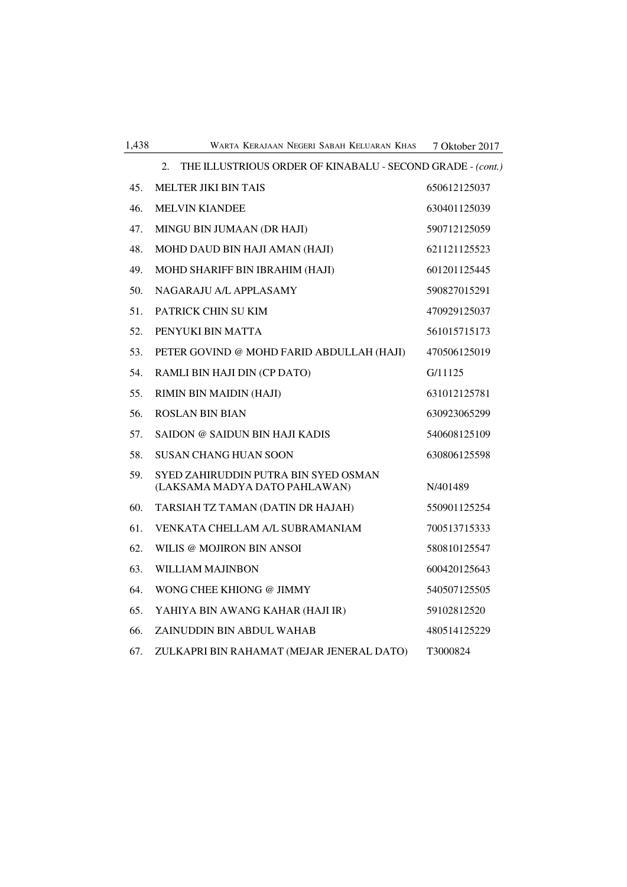| 1,438 | WARTA KERAJAAN NEGERI SABAH KELUARAN KHAS                             | 7 Oktober 2017 |
|-------|-----------------------------------------------------------------------|----------------|
|       | THE ILLUSTRIOUS ORDER OF KINABALU - SECOND GRADE - (cont.)<br>2.      |                |
| 45.   | <b>MELTER JIKI BIN TAIS</b>                                           | 650612125037   |
| 46.   | <b>MELVIN KIANDEE</b>                                                 | 630401125039   |
| 47.   | MINGU BIN JUMAAN (DR HAJI)                                            | 590712125059   |
| 48.   | MOHD DAUD BIN HAJI AMAN (HAJI)                                        | 621121125523   |
| 49.   | MOHD SHARIFF BIN IBRAHIM (HAJI)                                       | 601201125445   |
| 50.   | NAGARAJU A/L APPLASAMY                                                | 590827015291   |
| 51.   | PATRICK CHIN SU KIM                                                   | 470929125037   |
| 52.   | PENYUKI BIN MATTA                                                     | 561015715173   |
| 53.   | PETER GOVIND @ MOHD FARID ABDULLAH (HAJI)                             | 470506125019   |
| 54.   | RAMLI BIN HAJI DIN (CP DATO)                                          | G/11125        |
| 55.   | RIMIN BIN MAIDIN (HAJI)                                               | 631012125781   |
| 56.   | <b>ROSLAN BIN BIAN</b>                                                | 630923065299   |
| 57.   | SAIDON @ SAIDUN BIN HAJI KADIS                                        | 540608125109   |
| 58.   | <b>SUSAN CHANG HUAN SOON</b>                                          | 630806125598   |
| 59.   | SYED ZAHIRUDDIN PUTRA BIN SYED OSMAN<br>(LAKSAMA MADYA DATO PAHLAWAN) | N/401489       |
| 60.   | TARSIAH TZ TAMAN (DATIN DR HAJAH)                                     | 550901125254   |
| 61.   | VENKATA CHELLAM A/L SUBRAMANIAM                                       | 700513715333   |
| 62.   | WILIS @ MOJIRON BIN ANSOI                                             | 580810125547   |
| 63.   | <b>WILLIAM MAJINBON</b>                                               | 600420125643   |
| 64.   | WONG CHEE KHIONG @ JIMMY                                              | 540507125505   |
| 65.   | YAHIYA BIN AWANG KAHAR (HAJI IR)                                      | 59102812520    |
| 66.   | ZAINUDDIN BIN ABDUL WAHAB                                             | 480514125229   |
| 67.   | ZULKAPRI BIN RAHAMAT (MEJAR JENERAL DATO)                             | T3000824       |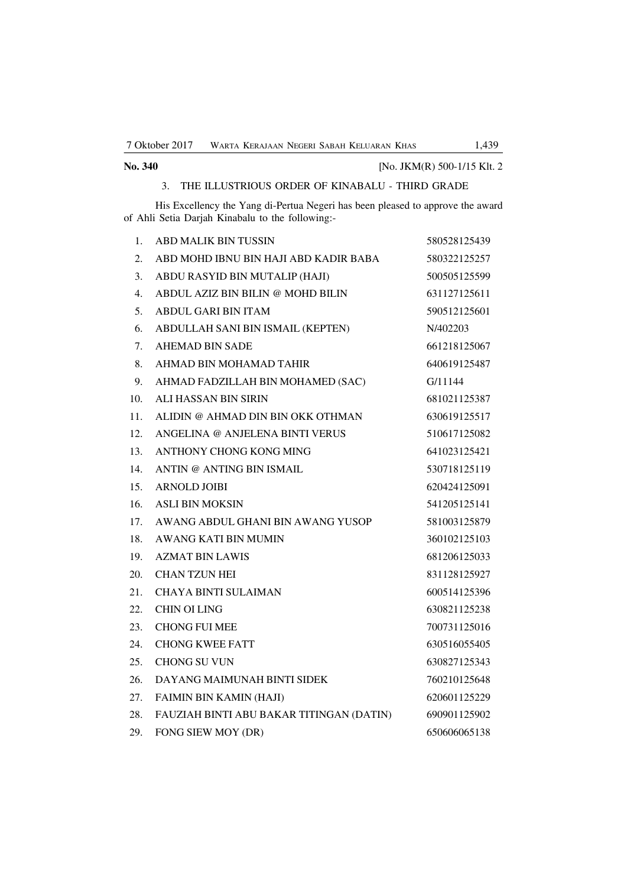| No. 340 | [No. JKM(R) 500-1/15 Klt. 2 |
|---------|-----------------------------|
|         |                             |

#### 3. THE ILLUSTRIOUS ORDER OF KINABALU - THIRD GRADE

His Excellency the Yang di-Pertua Negeri has been pleased to approve the award of Ahli Setia Darjah Kinabalu to the following:-

| 1.               | <b>ABD MALIK BIN TUSSIN</b>              | 580528125439 |
|------------------|------------------------------------------|--------------|
| 2.               | ABD MOHD IBNU BIN HAJI ABD KADIR BABA    | 580322125257 |
| 3.               | ABDU RASYID BIN MUTALIP (HAJI)           | 500505125599 |
| $\overline{4}$ . | ABDUL AZIZ BIN BILIN @ MOHD BILIN        | 631127125611 |
| 5.               | <b>ABDUL GARI BIN ITAM</b>               | 590512125601 |
| 6.               | ABDULLAH SANI BIN ISMAIL (KEPTEN)        | N/402203     |
| 7.               | <b>AHEMAD BIN SADE</b>                   | 661218125067 |
| 8.               | AHMAD BIN MOHAMAD TAHIR                  | 640619125487 |
| 9.               | AHMAD FADZILLAH BIN MOHAMED (SAC)        | G/11144      |
| 10.              | <b>ALI HASSAN BIN SIRIN</b>              | 681021125387 |
| 11.              | ALIDIN @ AHMAD DIN BIN OKK OTHMAN        | 630619125517 |
| 12.              | ANGELINA @ ANJELENA BINTI VERUS          | 510617125082 |
| 13.              | ANTHONY CHONG KONG MING                  | 641023125421 |
| 14.              | ANTIN @ ANTING BIN ISMAIL                | 530718125119 |
| 15.              | <b>ARNOLD JOIBI</b>                      | 620424125091 |
| 16.              | <b>ASLI BIN MOKSIN</b>                   | 541205125141 |
| 17.              | AWANG ABDUL GHANI BIN AWANG YUSOP        | 581003125879 |
| 18.              | AWANG KATI BIN MUMIN                     | 360102125103 |
| 19.              | <b>AZMAT BIN LAWIS</b>                   | 681206125033 |
| 20.              | <b>CHAN TZUN HEI</b>                     | 831128125927 |
| 21.              | <b>CHAYA BINTI SULAIMAN</b>              | 600514125396 |
| 22.              | <b>CHIN OI LING</b>                      | 630821125238 |
| 23.              | <b>CHONG FUI MEE</b>                     | 700731125016 |
| 24.              | <b>CHONG KWEE FATT</b>                   | 630516055405 |
| 25.              | <b>CHONG SU VUN</b>                      | 630827125343 |
| 26.              | DAYANG MAIMUNAH BINTI SIDEK              | 760210125648 |
| 27.              | FAIMIN BIN KAMIN (HAJI)                  | 620601125229 |
| 28.              | FAUZIAH BINTI ABU BAKAR TITINGAN (DATIN) | 690901125902 |
| 29.              | FONG SIEW MOY (DR)                       | 650606065138 |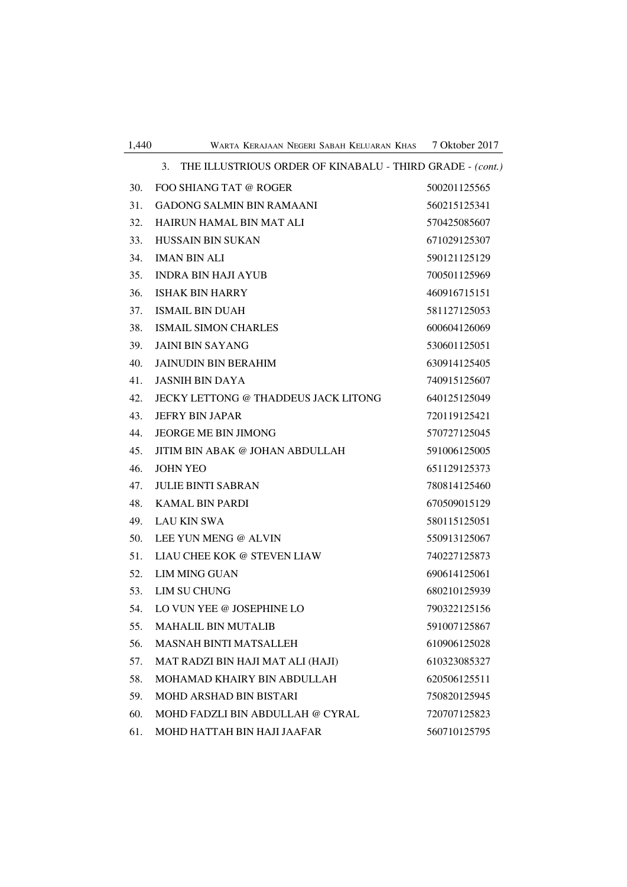| 1,440<br>7 Oktober 2017<br>WARTA KERAJAAN NEGERI SABAH KELUARAN KHAS |
|----------------------------------------------------------------------|
|----------------------------------------------------------------------|

|     | THE ILLUSTRIOUS ORDER OF KINABALU - THIRD GRADE - (cont.)<br>3. |              |
|-----|-----------------------------------------------------------------|--------------|
| 30. | FOO SHIANG TAT @ ROGER                                          | 500201125565 |
| 31. | <b>GADONG SALMIN BIN RAMAANI</b>                                | 560215125341 |
| 32. | <b>HAIRUN HAMAL BIN MAT ALI</b>                                 | 570425085607 |
| 33. | <b>HUSSAIN BIN SUKAN</b>                                        | 671029125307 |
| 34. | <b>IMAN BIN ALI</b>                                             | 590121125129 |
| 35. | <b>INDRA BIN HAJI AYUB</b>                                      | 700501125969 |
| 36. | <b>ISHAK BIN HARRY</b>                                          | 460916715151 |
| 37. | <b>ISMAIL BIN DUAH</b>                                          | 581127125053 |
| 38. | <b>ISMAIL SIMON CHARLES</b>                                     | 600604126069 |
| 39. | <b>JAINI BIN SAYANG</b>                                         | 530601125051 |
| 40. | <b>JAINUDIN BIN BERAHIM</b>                                     | 630914125405 |
| 41. | <b>JASNIH BIN DAYA</b>                                          | 740915125607 |
| 42. | JECKY LETTONG @ THADDEUS JACK LITONG                            | 640125125049 |
| 43. | <b>JEFRY BIN JAPAR</b>                                          | 720119125421 |
| 44. | <b>JEORGE ME BIN JIMONG</b>                                     | 570727125045 |
| 45. | JITIM BIN ABAK @ JOHAN ABDULLAH                                 | 591006125005 |
| 46. | <b>JOHN YEO</b>                                                 | 651129125373 |
| 47. | <b>JULIE BINTI SABRAN</b>                                       | 780814125460 |
| 48. | <b>KAMAL BIN PARDI</b>                                          | 670509015129 |
| 49. | <b>LAU KIN SWA</b>                                              | 580115125051 |
| 50. | LEE YUN MENG @ ALVIN                                            | 550913125067 |
| 51. | LIAU CHEE KOK @ STEVEN LIAW                                     | 740227125873 |
| 52. | <b>LIM MING GUAN</b>                                            | 690614125061 |
| 53. | LIM SU CHUNG                                                    | 680210125939 |
| 54. | LO VUN YEE @ JOSEPHINE LO                                       | 790322125156 |
| 55. | <b>MAHALIL BIN MUTALIB</b>                                      | 591007125867 |
| 56. | <b>MASNAH BINTI MATSALLEH</b>                                   | 610906125028 |
| 57. | MAT RADZI BIN HAJI MAT ALI (HAJI)                               | 610323085327 |
| 58. | MOHAMAD KHAIRY BIN ABDULLAH                                     | 620506125511 |
| 59. | MOHD ARSHAD BIN BISTARI                                         | 750820125945 |
| 60. | MOHD FADZLI BIN ABDULLAH @ CYRAL                                | 720707125823 |
| 61. | MOHD HATTAH BIN HAJI JAAFAR                                     | 560710125795 |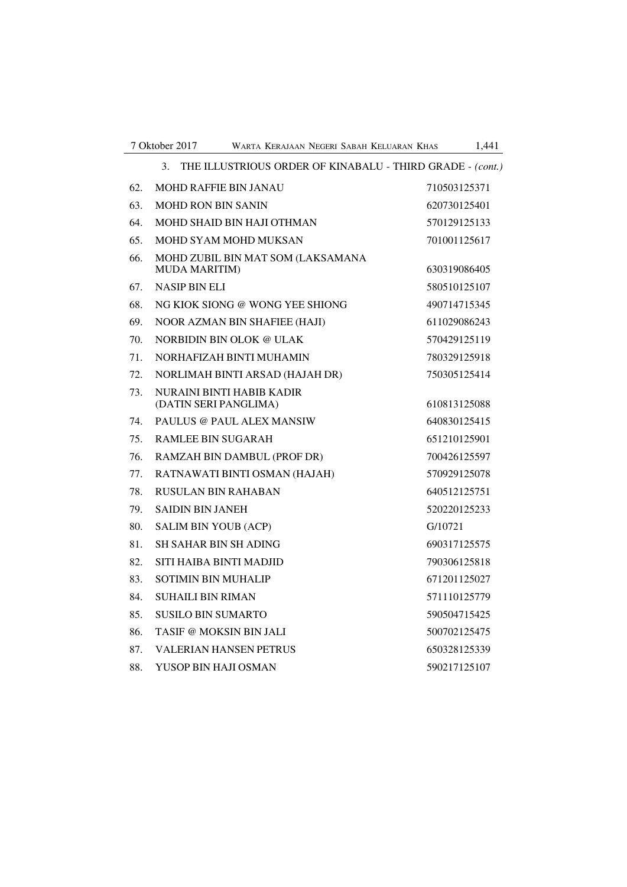|     | THE ILLUSTRIOUS ORDER OF KINABALU - THIRD GRADE - (cont.)<br>3. |              |
|-----|-----------------------------------------------------------------|--------------|
| 62. | <b>MOHD RAFFIE BIN JANAU</b>                                    | 710503125371 |
| 63. | <b>MOHD RON BIN SANIN</b>                                       | 620730125401 |
| 64. | MOHD SHAID BIN HAJI OTHMAN                                      | 570129125133 |
| 65. | MOHD SYAM MOHD MUKSAN                                           | 701001125617 |
| 66. | MOHD ZUBIL BIN MAT SOM (LAKSAMANA<br><b>MUDA MARITIM)</b>       | 630319086405 |
| 67. | <b>NASIP BIN ELI</b>                                            | 580510125107 |
| 68. | NG KIOK SIONG @ WONG YEE SHIONG                                 | 490714715345 |
| 69. | NOOR AZMAN BIN SHAFIEE (HAJI)                                   | 611029086243 |
| 70. | NORBIDIN BIN OLOK @ ULAK                                        | 570429125119 |
| 71. | NORHAFIZAH BINTI MUHAMIN                                        | 780329125918 |
| 72. | NORLIMAH BINTI ARSAD (HAJAH DR)                                 | 750305125414 |
| 73. | NURAINI BINTI HABIB KADIR<br>(DATIN SERI PANGLIMA)              | 610813125088 |
| 74. | PAULUS @ PAUL ALEX MANSIW                                       | 640830125415 |
| 75. | RAMLEE BIN SUGARAH                                              | 651210125901 |
| 76. | RAMZAH BIN DAMBUL (PROF DR)                                     | 700426125597 |
| 77. | RATNAWATI BINTI OSMAN (HAJAH)                                   | 570929125078 |
| 78. | RUSULAN BIN RAHABAN                                             | 640512125751 |
| 79. | <b>SAIDIN BIN JANEH</b>                                         | 520220125233 |
| 80. | <b>SALIM BIN YOUB (ACP)</b>                                     | G/10721      |
| 81. | <b>SH SAHAR BIN SH ADING</b>                                    | 690317125575 |
| 82. | SITI HAIBA BINTI MADJID                                         | 790306125818 |
| 83. | <b>SOTIMIN BIN MUHALIP</b>                                      | 671201125027 |
| 84. | <b>SUHAILI BIN RIMAN</b>                                        | 571110125779 |
| 85. | SUSILO BIN SUMARTO                                              | 590504715425 |
| 86. | TASIF @ MOKSIN BIN JALI                                         | 500702125475 |
| 87. | <b>VALERIAN HANSEN PETRUS</b>                                   | 650328125339 |
| 88. | YUSOP BIN HAJI OSMAN                                            | 590217125107 |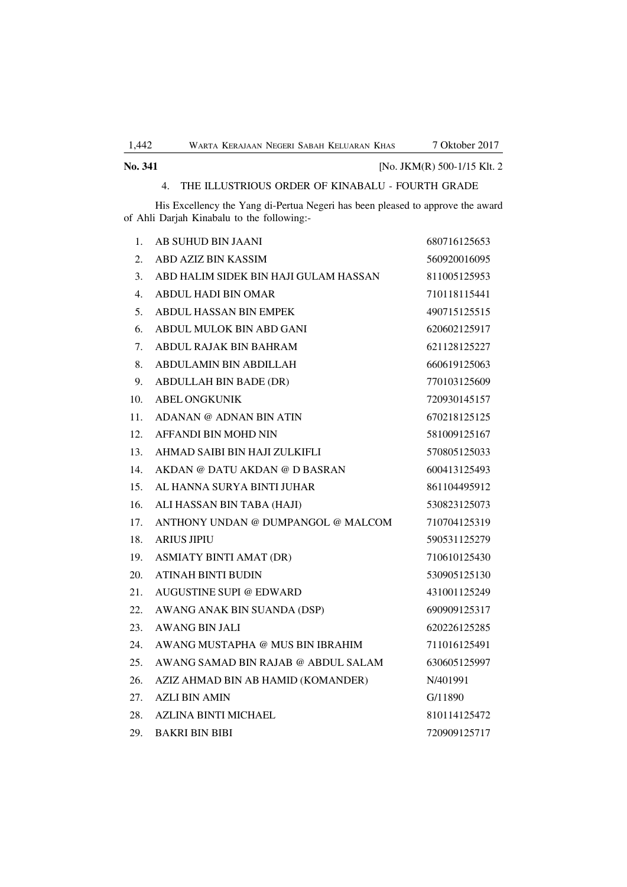## **No. 341** [No. JKM(R) 500-1/15 Klt. 2 4. THE ILLUSTRIOUS ORDER OF KINABALU - FOURTH GRADE

His Excellency the Yang di-Pertua Negeri has been pleased to approve the award of Ahli Darjah Kinabalu to the following:-

| 1.  | AB SUHUD BIN JAANI                    | 680716125653 |
|-----|---------------------------------------|--------------|
| 2.  | <b>ABD AZIZ BIN KASSIM</b>            | 560920016095 |
| 3.  | ABD HALIM SIDEK BIN HAJI GULAM HASSAN | 811005125953 |
| 4.  | <b>ABDUL HADI BIN OMAR</b>            | 710118115441 |
| 5.  | <b>ABDUL HASSAN BIN EMPEK</b>         | 490715125515 |
| 6.  | ABDUL MULOK BIN ABD GANI              | 620602125917 |
| 7.  | ABDUL RAJAK BIN BAHRAM                | 621128125227 |
| 8.  | ABDULAMIN BIN ABDILLAH                | 660619125063 |
| 9.  | ABDULLAH BIN BADE (DR)                | 770103125609 |
| 10. | <b>ABEL ONGKUNIK</b>                  | 720930145157 |
| 11. | ADANAN @ ADNAN BIN ATIN               | 670218125125 |
| 12. | AFFANDI BIN MOHD NIN                  | 581009125167 |
| 13. | AHMAD SAIBI BIN HAJI ZULKIFLI         | 570805125033 |
| 14. | AKDAN @ DATU AKDAN @ D BASRAN         | 600413125493 |
| 15. | AL HANNA SURYA BINTI JUHAR            | 861104495912 |
| 16. | ALI HASSAN BIN TABA (HAJI)            | 530823125073 |
| 17. | ANTHONY UNDAN @ DUMPANGOL @ MALCOM    | 710704125319 |
| 18. | <b>ARIUS JIPIU</b>                    | 590531125279 |
| 19. | <b>ASMIATY BINTI AMAT (DR)</b>        | 710610125430 |
| 20. | <b>ATINAH BINTI BUDIN</b>             | 530905125130 |
| 21. | AUGUSTINE SUPI @ EDWARD               | 431001125249 |
| 22. | AWANG ANAK BIN SUANDA (DSP)           | 690909125317 |
| 23. | <b>AWANG BIN JALI</b>                 | 620226125285 |
| 24. | AWANG MUSTAPHA @ MUS BIN IBRAHIM      | 711016125491 |
| 25. | AWANG SAMAD BIN RAJAB @ ABDUL SALAM   | 630605125997 |
| 26. | AZIZ AHMAD BIN AB HAMID (KOMANDER)    | N/401991     |
| 27. | <b>AZLI BIN AMIN</b>                  | G/11890      |
| 28. | <b>AZLINA BINTI MICHAEL</b>           | 810114125472 |
| 29. | <b>BAKRI BIN BIBI</b>                 | 720909125717 |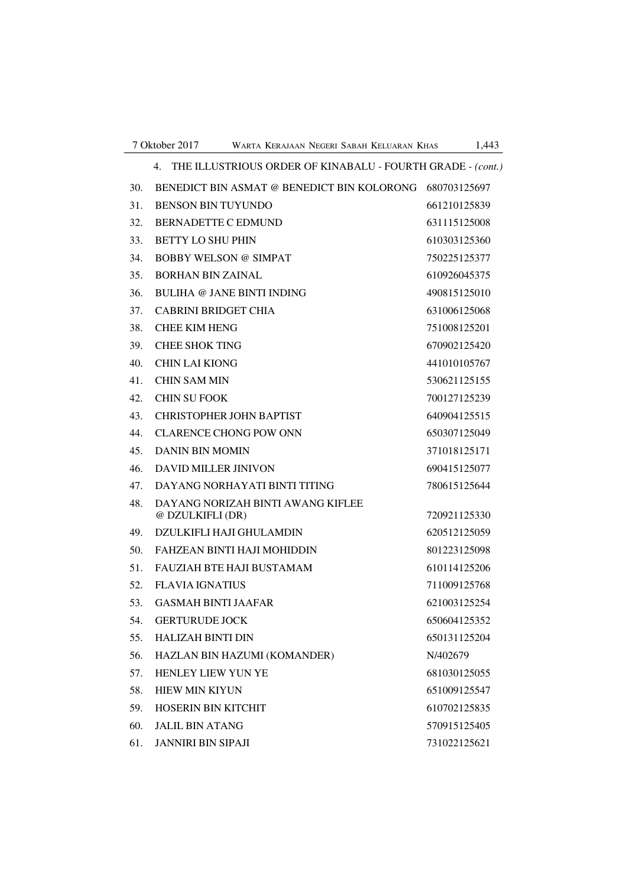|     | THE ILLUSTRIOUS ORDER OF KINABALU - FOURTH GRADE - (cont.)<br>4. |              |
|-----|------------------------------------------------------------------|--------------|
| 30. | BENEDICT BIN ASMAT @ BENEDICT BIN KOLORONG                       | 680703125697 |
| 31. | <b>BENSON BIN TUYUNDO</b>                                        | 661210125839 |
| 32. | <b>BERNADETTE C EDMUND</b>                                       | 631115125008 |
| 33. | <b>BETTY LO SHU PHIN</b>                                         | 610303125360 |
| 34. | BOBBY WELSON @ SIMPAT                                            | 750225125377 |
| 35. | <b>BORHAN BIN ZAINAL</b>                                         | 610926045375 |
| 36. | BULIHA @ JANE BINTI INDING                                       | 490815125010 |
| 37. | <b>CABRINI BRIDGET CHIA</b>                                      | 631006125068 |
| 38. | <b>CHEE KIM HENG</b>                                             | 751008125201 |
| 39. | <b>CHEE SHOK TING</b>                                            | 670902125420 |
| 40. | <b>CHIN LAI KIONG</b>                                            | 441010105767 |
| 41. | <b>CHIN SAM MIN</b>                                              | 530621125155 |
| 42. | <b>CHIN SU FOOK</b>                                              | 700127125239 |
| 43. | CHRISTOPHER JOHN BAPTIST                                         | 640904125515 |
| 44. | <b>CLARENCE CHONG POW ONN</b>                                    | 650307125049 |
| 45. | DANIN BIN MOMIN                                                  | 371018125171 |
| 46. | <b>DAVID MILLER JINIVON</b>                                      | 690415125077 |
| 47. | DAYANG NORHAYATI BINTI TITING                                    | 780615125644 |
| 48. | DAYANG NORIZAH BINTI AWANG KIFLEE<br>@ DZULKIFLI (DR)            | 720921125330 |
| 49. | DZULKIFLI HAJI GHULAMDIN                                         | 620512125059 |
| 50. | <b>FAHZEAN BINTI HAJI MOHIDDIN</b>                               | 801223125098 |
| 51. | FAUZIAH BTE HAJI BUSTAMAM                                        | 610114125206 |
| 52. | FLAVIA IGNATIUS                                                  | 711009125768 |
| 53. | <b>GASMAH BINTI JAAFAR</b>                                       | 621003125254 |
| 54. | <b>GERTURUDE JOCK</b>                                            | 650604125352 |
| 55. | <b>HALIZAH BINTI DIN</b>                                         | 650131125204 |
| 56. | HAZLAN BIN HAZUMI (KOMANDER)                                     | N/402679     |
| 57. | HENLEY LIEW YUN YE                                               | 681030125055 |
| 58. | <b>HIEW MIN KIYUN</b>                                            | 651009125547 |
| 59. | HOSERIN BIN KITCHIT                                              | 610702125835 |
| 60. | <b>JALIL BIN ATANG</b>                                           | 570915125405 |
| 61. | <b>JANNIRI BIN SIPAJI</b>                                        | 731022125621 |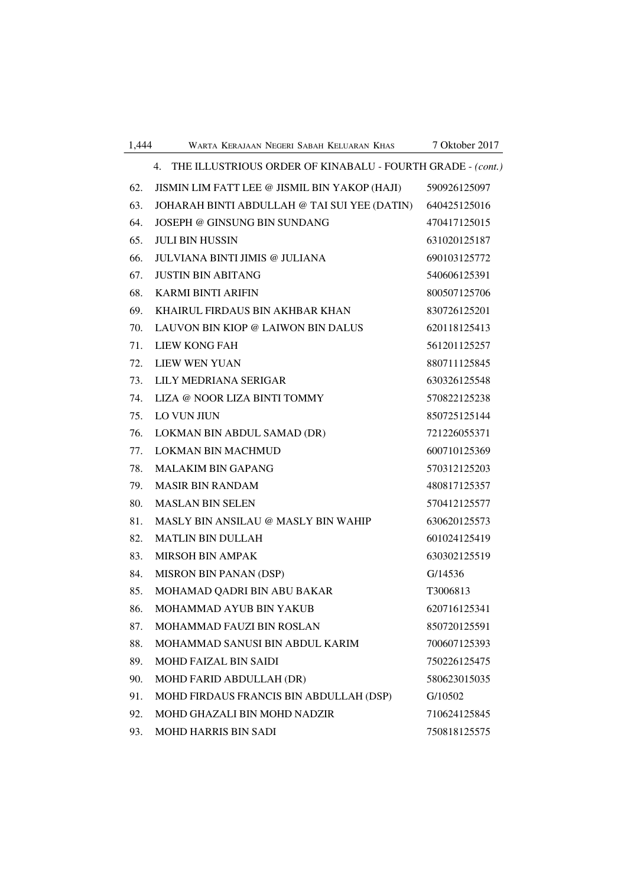| 1,444 | WARTA KERAJAAN NEGERI SABAH KELUARAN KHAS                        | 7 Oktober 2017 |
|-------|------------------------------------------------------------------|----------------|
|       | THE ILLUSTRIOUS ORDER OF KINABALU - FOURTH GRADE - (cont.)<br>4. |                |
| 62.   | JISMIN LIM FATT LEE @ JISMIL BIN YAKOP (HAJI)                    | 590926125097   |
| 63.   | JOHARAH BINTI ABDULLAH @ TAI SUI YEE (DATIN)                     | 640425125016   |
| 64.   | JOSEPH @ GINSUNG BIN SUNDANG                                     | 470417125015   |
| 65.   | <b>JULI BIN HUSSIN</b>                                           | 631020125187   |
| 66.   | JULVIANA BINTI JIMIS @ JULIANA                                   | 690103125772   |
| 67.   | <b>JUSTIN BIN ABITANG</b>                                        | 540606125391   |
| 68.   | <b>KARMI BINTI ARIFIN</b>                                        | 800507125706   |
| 69.   | KHAIRUL FIRDAUS BIN AKHBAR KHAN                                  | 830726125201   |
| 70.   | LAUVON BIN KIOP @ LAIWON BIN DALUS                               | 620118125413   |
| 71.   | <b>LIEW KONG FAH</b>                                             | 561201125257   |
| 72.   | <b>LIEW WEN YUAN</b>                                             | 880711125845   |
| 73.   | LILY MEDRIANA SERIGAR                                            | 630326125548   |
| 74.   | LIZA @ NOOR LIZA BINTI TOMMY                                     | 570822125238   |
| 75.   | <b>LO VUN JIUN</b>                                               | 850725125144   |
| 76.   | LOKMAN BIN ABDUL SAMAD (DR)                                      | 721226055371   |
| 77.   | <b>LOKMAN BIN MACHMUD</b>                                        | 600710125369   |
| 78.   | <b>MALAKIM BIN GAPANG</b>                                        | 570312125203   |
| 79.   | <b>MASIR BIN RANDAM</b>                                          | 480817125357   |
| 80.   | <b>MASLAN BIN SELEN</b>                                          | 570412125577   |
| 81.   | MASLY BIN ANSILAU @ MASLY BIN WAHIP                              | 630620125573   |
| 82.   | <b>MATLIN BIN DULLAH</b>                                         | 601024125419   |
| 83.   | <b>MIRSOH BIN AMPAK</b>                                          | 630302125519   |
| 84.   | <b>MISRON BIN PANAN (DSP)</b>                                    | G/14536        |
| 85.   | MOHAMAD QADRI BIN ABU BAKAR                                      | T3006813       |
| 86.   | MOHAMMAD AYUB BIN YAKUB                                          | 620716125341   |
| 87.   | MOHAMMAD FAUZI BIN ROSLAN                                        | 850720125591   |
| 88.   | MOHAMMAD SANUSI BIN ABDUL KARIM                                  | 700607125393   |
| 89.   | <b>MOHD FAIZAL BIN SAIDI</b>                                     | 750226125475   |
| 90.   | MOHD FARID ABDULLAH (DR)                                         | 580623015035   |
| 91.   | MOHD FIRDAUS FRANCIS BIN ABDULLAH (DSP)                          | G/10502        |
| 92.   | MOHD GHAZALI BIN MOHD NADZIR                                     | 710624125845   |
| 93.   | MOHD HARRIS BIN SADI                                             | 750818125575   |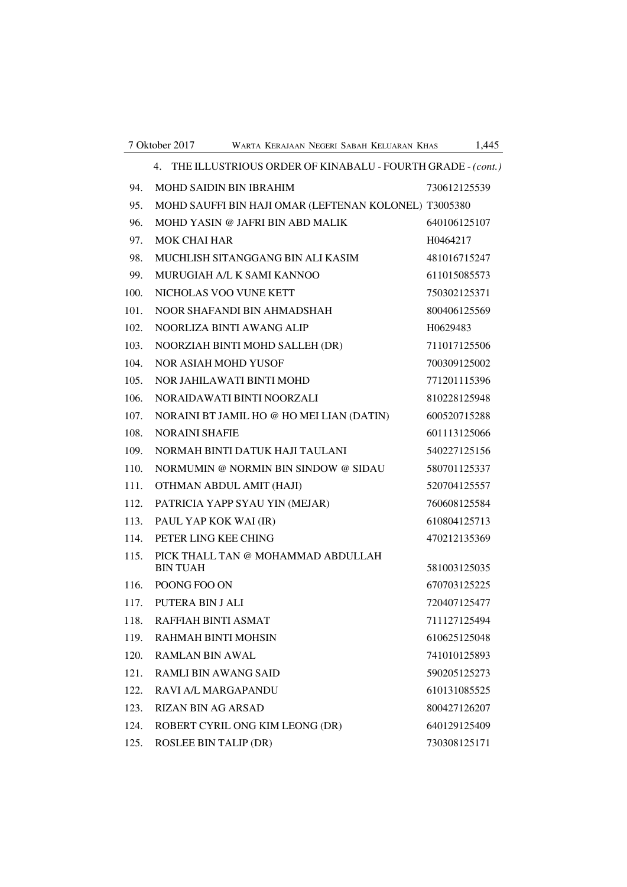|      | 4. THE ILLUSTRIOUS ORDER OF KINABALU - FOURTH GRADE - (cont.) |              |
|------|---------------------------------------------------------------|--------------|
| 94.  | <b>MOHD SAIDIN BIN IBRAHIM</b>                                | 730612125539 |
| 95.  | MOHD SAUFFI BIN HAJI OMAR (LEFTENAN KOLONEL) T3005380         |              |
| 96.  | MOHD YASIN @ JAFRI BIN ABD MALIK                              | 640106125107 |
| 97.  | <b>MOK CHAI HAR</b>                                           | H0464217     |
| 98.  | MUCHLISH SITANGGANG BIN ALI KASIM                             | 481016715247 |
| 99.  | MURUGIAH A/L K SAMI KANNOO                                    | 611015085573 |
| 100. | NICHOLAS VOO VUNE KETT                                        | 750302125371 |
| 101. | NOOR SHAFANDI BIN AHMADSHAH                                   | 800406125569 |
| 102. | NOORLIZA BINTI AWANG ALIP                                     | H0629483     |
| 103. | NOORZIAH BINTI MOHD SALLEH (DR)                               | 711017125506 |
| 104. | NOR ASIAH MOHD YUSOF                                          | 700309125002 |
| 105. | NOR JAHILAWATI BINTI MOHD                                     | 771201115396 |
| 106. | NORAIDAWATI BINTI NOORZALI                                    | 810228125948 |
| 107. | NORAINI BT JAMIL HO @ HO MEI LIAN (DATIN)                     | 600520715288 |
| 108. | <b>NORAINI SHAFIE</b>                                         | 601113125066 |
| 109. | NORMAH BINTI DATUK HAJI TAULANI                               | 540227125156 |
| 110. | NORMUMIN @ NORMIN BIN SINDOW @ SIDAU                          | 580701125337 |
| 111. | OTHMAN ABDUL AMIT (HAJI)                                      | 520704125557 |
| 112. | PATRICIA YAPP SYAU YIN (MEJAR)                                | 760608125584 |
| 113. | PAUL YAP KOK WAI (IR)                                         | 610804125713 |
| 114. | PETER LING KEE CHING                                          | 470212135369 |
| 115. | PICK THALL TAN @ MOHAMMAD ABDULLAH<br><b>BIN TUAH</b>         | 581003125035 |
| 116. | POONG FOO ON                                                  | 670703125225 |
|      | 117. PUTERA BIN J ALI                                         | 720407125477 |
| 118. | RAFFIAH BINTI ASMAT                                           | 711127125494 |
| 119. | <b>RAHMAH BINTI MOHSIN</b>                                    | 610625125048 |
| 120. | <b>RAMLAN BIN AWAL</b>                                        | 741010125893 |
| 121. | RAMLI BIN AWANG SAID                                          | 590205125273 |
| 122. | <b>RAVI A/L MARGAPANDU</b>                                    | 610131085525 |
| 123. | <b>RIZAN BIN AG ARSAD</b>                                     | 800427126207 |
| 124. | ROBERT CYRIL ONG KIM LEONG (DR)                               | 640129125409 |
| 125. | <b>ROSLEE BIN TALIP (DR)</b>                                  | 730308125171 |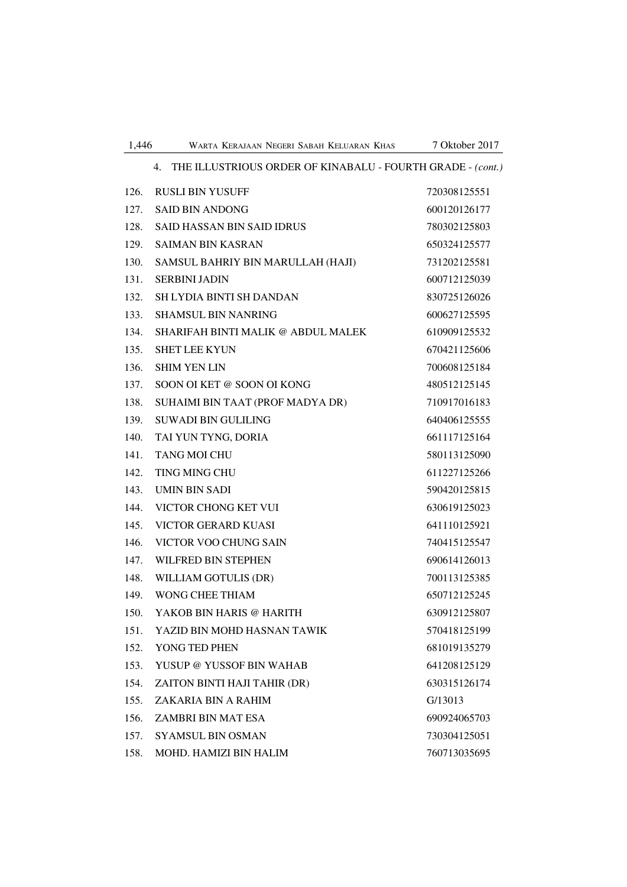|      | 4. THE ILLUSTRIOUS ORDER OF KINABALU - FOURTH GRADE - (cont.) |              |  |
|------|---------------------------------------------------------------|--------------|--|
| 126. | <b>RUSLI BIN YUSUFF</b>                                       | 720308125551 |  |
| 127. | <b>SAID BIN ANDONG</b>                                        | 600120126177 |  |
| 128. | <b>SAID HASSAN BIN SAID IDRUS</b>                             | 780302125803 |  |
| 129. | <b>SAIMAN BIN KASRAN</b>                                      | 650324125577 |  |
| 130. | SAMSUL BAHRIY BIN MARULLAH (HAJI)                             | 731202125581 |  |
| 131. | <b>SERBINI JADIN</b>                                          | 600712125039 |  |
| 132. | SH LYDIA BINTI SH DANDAN                                      | 830725126026 |  |
| 133. | <b>SHAMSUL BIN NANRING</b>                                    | 600627125595 |  |
| 134. | SHARIFAH BINTI MALIK @ ABDUL MALEK                            | 610909125532 |  |
| 135. | <b>SHET LEE KYUN</b>                                          | 670421125606 |  |
| 136. | <b>SHIM YEN LIN</b>                                           | 700608125184 |  |
| 137. | SOON OI KET @ SOON OI KONG                                    | 480512125145 |  |
| 138. | SUHAIMI BIN TAAT (PROF MADYA DR)                              | 710917016183 |  |
| 139. | <b>SUWADI BIN GULILING</b>                                    | 640406125555 |  |
| 140. | TAI YUN TYNG, DORIA                                           | 661117125164 |  |
| 141. | <b>TANG MOI CHU</b>                                           | 580113125090 |  |
| 142. | <b>TING MING CHU</b>                                          | 611227125266 |  |
| 143. | <b>UMIN BIN SADI</b>                                          | 590420125815 |  |
| 144. | VICTOR CHONG KET VUI                                          | 630619125023 |  |
| 145. | VICTOR GERARD KUASI                                           | 641110125921 |  |
| 146. | VICTOR VOO CHUNG SAIN                                         | 740415125547 |  |
| 147. | WILFRED BIN STEPHEN                                           | 690614126013 |  |
| 148. | WILLIAM GOTULIS (DR)                                          | 700113125385 |  |
| 149. | <b>WONG CHEE THIAM</b>                                        | 650712125245 |  |
| 150. | YAKOB BIN HARIS @ HARITH                                      | 630912125807 |  |
| 151. | YAZID BIN MOHD HASNAN TAWIK                                   | 570418125199 |  |
| 152. | YONG TED PHEN                                                 | 681019135279 |  |
| 153. | YUSUP @ YUSSOF BIN WAHAB                                      | 641208125129 |  |
| 154. | ZAITON BINTI HAJI TAHIR (DR)                                  | 630315126174 |  |
| 155. | ZAKARIA BIN A RAHIM                                           | G/13013      |  |
| 156. | ZAMBRI BIN MAT ESA                                            | 690924065703 |  |
| 157. | <b>SYAMSUL BIN OSMAN</b>                                      | 730304125051 |  |
| 158. | MOHD. HAMIZI BIN HALIM                                        | 760713035695 |  |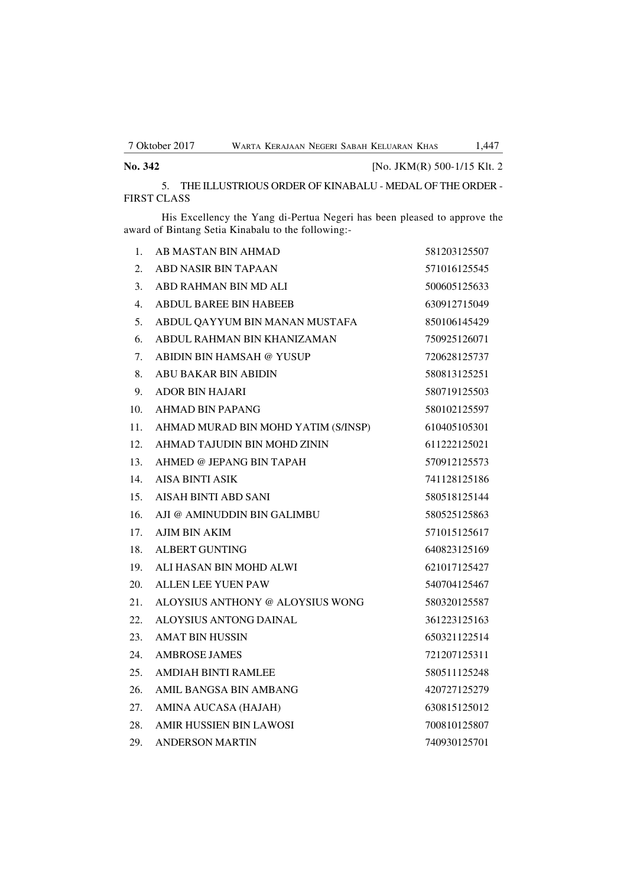| No. 342 | [No. JKM(R) 500-1/15 Klt. 2 |
|---------|-----------------------------|
|---------|-----------------------------|

5. THE ILLUSTRIOUS ORDER OF KINABALU - MEDAL OF THE ORDER - FIRST CLASS

His Excellency the Yang di-Pertua Negeri has been pleased to approve the award of Bintang Setia Kinabalu to the following:-

| 1.  | AB MASTAN BIN AHMAD                 | 581203125507 |
|-----|-------------------------------------|--------------|
| 2.  | <b>ABD NASIR BIN TAPAAN</b>         | 571016125545 |
| 3.  | ABD RAHMAN BIN MD ALI               | 500605125633 |
| 4.  | <b>ABDUL BAREE BIN HABEEB</b>       | 630912715049 |
| 5.  | ABDUL QAYYUM BIN MANAN MUSTAFA      | 850106145429 |
| 6.  | ABDUL RAHMAN BIN KHANIZAMAN         | 750925126071 |
| 7.  | <b>ABIDIN BIN HAMSAH @ YUSUP</b>    | 720628125737 |
| 8.  | ABU BAKAR BIN ABIDIN                | 580813125251 |
| 9.  | <b>ADOR BIN HAJARI</b>              | 580719125503 |
| 10. | AHMAD BIN PAPANG                    | 580102125597 |
| 11. | AHMAD MURAD BIN MOHD YATIM (S/INSP) | 610405105301 |
| 12. | AHMAD TAJUDIN BIN MOHD ZININ        | 611222125021 |
| 13. | AHMED @ JEPANG BIN TAPAH            | 570912125573 |
| 14. | <b>AISA BINTI ASIK</b>              | 741128125186 |
| 15. | AISAH BINTI ABD SANI                | 580518125144 |
| 16. | AJI @ AMINUDDIN BIN GALIMBU         | 580525125863 |
| 17. | <b>AJIM BIN AKIM</b>                | 571015125617 |
| 18. | <b>ALBERT GUNTING</b>               | 640823125169 |
| 19. | ALI HASAN BIN MOHD ALWI             | 621017125427 |
| 20. | <b>ALLEN LEE YUEN PAW</b>           | 540704125467 |
| 21. | ALOYSIUS ANTHONY @ ALOYSIUS WONG    | 580320125587 |
| 22. | ALOYSIUS ANTONG DAINAL              | 361223125163 |
| 23. | <b>AMAT BIN HUSSIN</b>              | 650321122514 |
| 24. | <b>AMBROSE JAMES</b>                | 721207125311 |
| 25. | <b>AMDIAH BINTI RAMLEE</b>          | 580511125248 |
| 26. | AMIL BANGSA BIN AMBANG              | 420727125279 |
| 27. | AMINA AUCASA (HAJAH)                | 630815125012 |
| 28. | AMIR HUSSIEN BIN LAWOSI             | 700810125807 |
| 29. | <b>ANDERSON MARTIN</b>              | 740930125701 |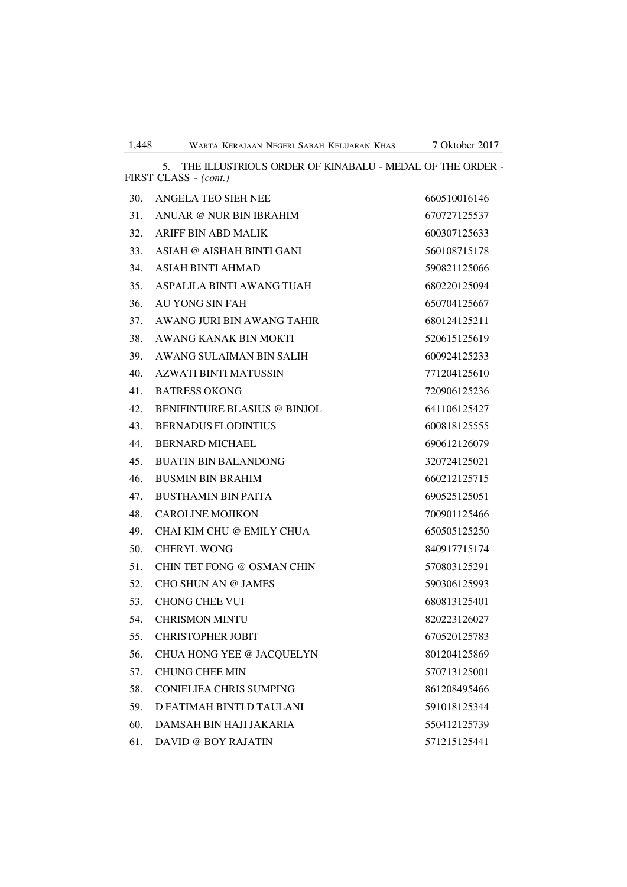|     | THE ILLUSTRIOUS ORDER OF KINABALU - MEDAL OF THE ORDER -<br>5.<br>FIRST CLASS - (cont.) |              |
|-----|-----------------------------------------------------------------------------------------|--------------|
| 30. | ANGELA TEO SIEH NEE                                                                     | 660510016146 |
| 31. | ANUAR @ NUR BIN IBRAHIM                                                                 | 670727125537 |
| 32. | ARIFF BIN ABD MALIK                                                                     | 600307125633 |
| 33. | ASIAH @ AISHAH BINTI GANI                                                               | 560108715178 |
| 34. | <b>ASIAH BINTI AHMAD</b>                                                                | 590821125066 |
| 35. | ASPALILA BINTI AWANG TUAH                                                               | 680220125094 |
| 36. | AU YONG SIN FAH                                                                         | 650704125667 |
| 37. | AWANG JURI BIN AWANG TAHIR                                                              | 680124125211 |
| 38. | AWANG KANAK BIN MOKTI                                                                   | 520615125619 |
| 39. | AWANG SULAIMAN BIN SALIH                                                                | 600924125233 |
| 40. | <b>AZWATI BINTI MATUSSIN</b>                                                            | 771204125610 |
| 41. | <b>BATRESS OKONG</b>                                                                    | 720906125236 |
| 42. | <b>BENIFINTURE BLASIUS @ BINJOL</b>                                                     | 641106125427 |
| 43. | <b>BERNADUS FLODINTIUS</b>                                                              | 600818125555 |
| 44. | <b>BERNARD MICHAEL</b>                                                                  | 690612126079 |
| 45. | <b>BUATIN BIN BALANDONG</b>                                                             | 320724125021 |
| 46. | <b>BUSMIN BIN BRAHIM</b>                                                                | 660212125715 |
| 47. | <b>BUSTHAMIN BIN PAITA</b>                                                              | 690525125051 |
| 48. | <b>CAROLINE MOJIKON</b>                                                                 | 700901125466 |
| 49. | CHAI KIM CHU @ EMILY CHUA                                                               | 650505125250 |
| 50. | <b>CHERYL WONG</b>                                                                      | 840917715174 |
| 51. | CHIN TET FONG @ OSMAN CHIN                                                              | 570803125291 |
| 52. | <b>CHO SHUN AN @ JAMES</b>                                                              | 590306125993 |
| 53. | <b>CHONG CHEE VUI</b>                                                                   | 680813125401 |
| 54. | <b>CHRISMON MINTU</b>                                                                   | 820223126027 |
| 55. | <b>CHRISTOPHER JOBIT</b>                                                                | 670520125783 |
| 56. | CHUA HONG YEE @ JACQUELYN                                                               | 801204125869 |
| 57. | <b>CHUNG CHEE MIN</b>                                                                   | 570713125001 |
| 58. | <b>CONIELIEA CHRIS SUMPING</b>                                                          | 861208495466 |
| 59. | D FATIMAH BINTI D TAULANI                                                               | 591018125344 |
| 60. | DAMSAH BIN HAJI JAKARIA                                                                 | 550412125739 |
| 61. | <b>DAVID @ BOY RAJATIN</b>                                                              | 571215125441 |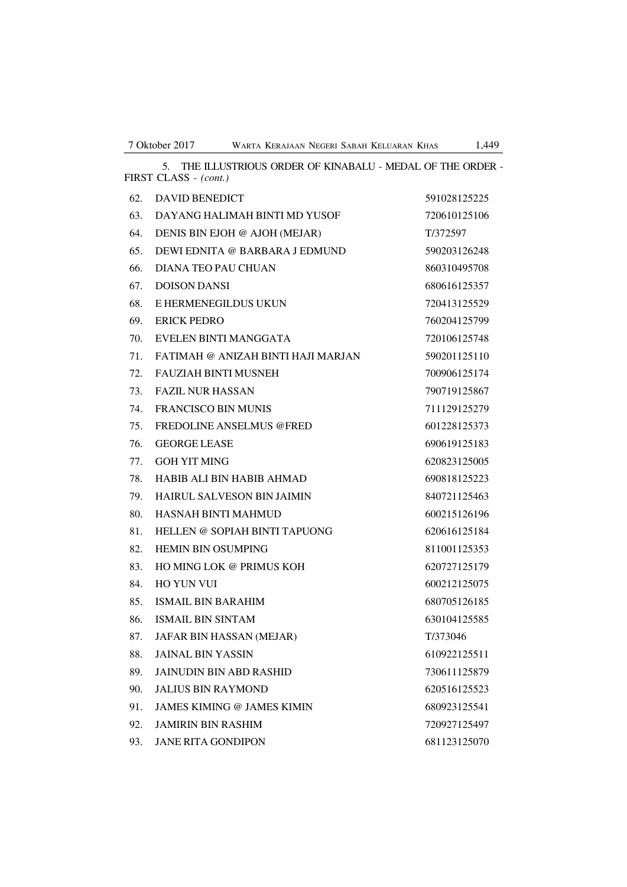5. THE ILLUSTRIOUS ORDER OF KINABALU - MEDAL OF THE ORDER -

FIRST CLASS - *(cont.)* 62. DAVID BENEDICT 591028125225 63. DAYANG HALIMAH BINTI MD YUSOF 720610125106 64. DENIS BIN EJOH @ AJOH (MEJAR) T/372597 65. DEWI EDNITA @ BARBARA J EDMUND 590203126248 66. DIANA TEO PAU CHUAN 860310495708 67. DOISON DANSI 680616125357 68. E HERMENEGILDUS UKUN 720413125529 69. ERICK PEDRO 760204125799 70. EVELEN BINTI MANGGATA 720106125748 71. FATIMAH @ ANIZAH BINTI HAJI MARJAN 590201125110 72. FAUZIAH BINTI MUSNEH 700906125174 73. FAZIL NUR HASSAN 790719125867 74. FRANCISCO BIN MUNIS 711129125279 75. FREDOLINE ANSELMUS @FRED 601228125373 76. GEORGE LEASE 690619125183 77. GOH YIT MING 620823125005 78. HABIB ALI BIN HABIB AHMAD 690818125223 79. HAIRUL SALVESON BIN JAIMIN 840721125463 80. HASNAH BINTI MAHMUD 600215126196 81. HELLEN @ SOPIAH BINTI TAPUONG 620616125184 82. HEMIN BIN OSUMPING 811001125353 83. HO MING LOK @ PRIMUS KOH 620727125179 84. HO YUN VUI 600212125075 85. ISMAIL BIN BARAHIM 680705126185 86. ISMAIL BIN SINTAM 630104125585 87. JAFAR BIN HASSAN (MEJAR) T/373046 88. JAINAL BIN YASSIN 610922125511 89. JAINUDIN BIN ABD RASHID 730611125879 90. JALIUS BIN RAYMOND 620516125523 91. JAMES KIMING @ JAMES KIMIN 680923125541 92. JAMIRIN BIN RASHIM 720927125497 93. JANE RITA GONDIPON 681123125070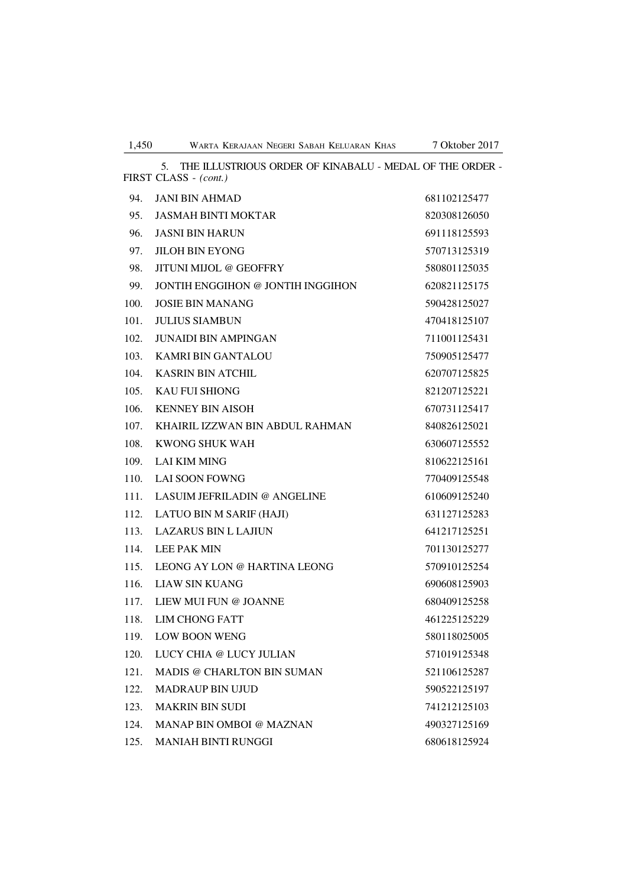5. THE ILLUSTRIOUS ORDER OF KINABALU - MEDAL OF THE ORDER - FIRST CLASS - *(cont.)*

| 94.  | <b>JANI BIN AHMAD</b>               | 681102125477 |
|------|-------------------------------------|--------------|
| 95.  | <b>JASMAH BINTI MOKTAR</b>          | 820308126050 |
| 96.  | <b>JASNI BIN HARUN</b>              | 691118125593 |
| 97.  | <b>JILOH BIN EYONG</b>              | 570713125319 |
| 98.  | <b>JITUNI MIJOL @ GEOFFRY</b>       | 580801125035 |
| 99.  | JONTIH ENGGIHON @ JONTIH INGGIHON   | 620821125175 |
| 100. | <b>JOSIE BIN MANANG</b>             | 590428125027 |
| 101. | <b>JULIUS SIAMBUN</b>               | 470418125107 |
| 102. | <b>JUNAIDI BIN AMPINGAN</b>         | 711001125431 |
| 103. | <b>KAMRI BIN GANTALOU</b>           | 750905125477 |
| 104. | <b>KASRIN BIN ATCHIL</b>            | 620707125825 |
| 105. | <b>KAU FUI SHIONG</b>               | 821207125221 |
| 106. | <b>KENNEY BIN AISOH</b>             | 670731125417 |
| 107. | KHAIRIL IZZWAN BIN ABDUL RAHMAN     | 840826125021 |
| 108. | <b>KWONG SHUK WAH</b>               | 630607125552 |
| 109. | <b>LAI KIM MING</b>                 | 810622125161 |
| 110. | <b>LAI SOON FOWNG</b>               | 770409125548 |
| 111. | <b>LASUIM JEFRILADIN @ ANGELINE</b> | 610609125240 |
| 112. | LATUO BIN M SARIF (HAJI)            | 631127125283 |
| 113. | <b>LAZARUS BIN L LAJIUN</b>         | 641217125251 |
| 114. | <b>LEE PAK MIN</b>                  | 701130125277 |
| 115. | LEONG AY LON @ HARTINA LEONG        | 570910125254 |
| 116. | <b>LIAW SIN KUANG</b>               | 690608125903 |
| 117. | LIEW MUI FUN @ JOANNE               | 680409125258 |
| 118. | <b>LIM CHONG FATT</b>               | 461225125229 |
| 119. | <b>LOW BOON WENG</b>                | 580118025005 |
| 120. | LUCY CHIA @ LUCY JULIAN             | 571019125348 |
| 121. | MADIS @ CHARLTON BIN SUMAN          | 521106125287 |
| 122. | <b>MADRAUP BIN UJUD</b>             | 590522125197 |
| 123. | <b>MAKRIN BIN SUDI</b>              | 741212125103 |
| 124. | MANAP BIN OMBOI @ MAZNAN            | 490327125169 |
| 125. | MANIAH BINTI RUNGGI                 | 680618125924 |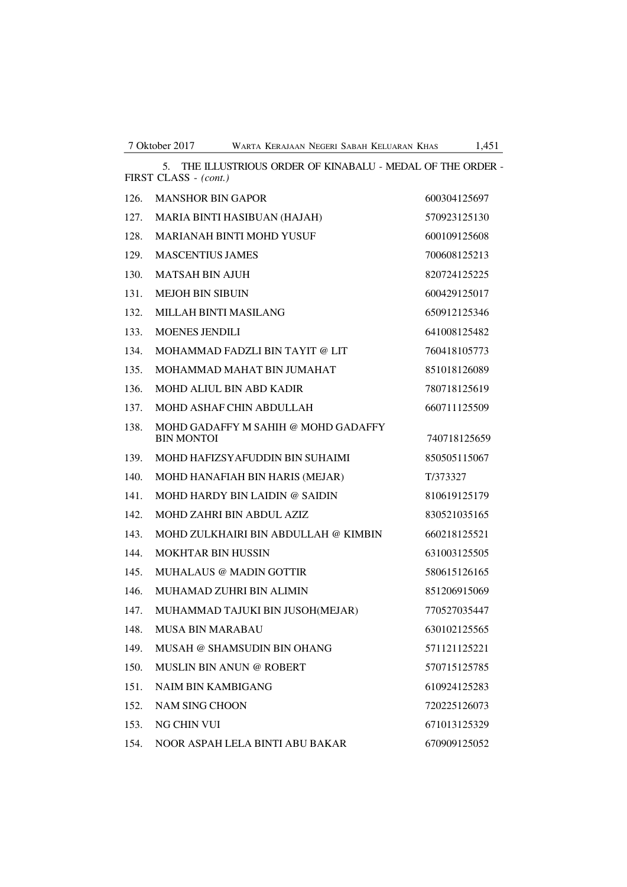5. THE ILLUSTRIOUS ORDER OF KINABALU - MEDAL OF THE ORDER - FIRST CLASS - *(cont.)* 126. MANSHOR BIN GAPOR 600304125697 127. MARIA BINTI HASIBUAN (HAJAH) 570923125130 128. MARIANAH BINTI MOHD YUSUF 600109125608 129. MASCENTIUS JAMES 700608125213 130. MATSAH BIN AJUH 820724125225 131. MEJOH BIN SIBUIN 600429125017 132. MILLAH BINTI MASILANG 650912125346 133. MOENES JENDILI 641008125482 134. MOHAMMAD FADZLI BIN TAYIT @ LIT 760418105773 135. MOHAMMAD MAHAT BIN JUMAHAT 851018126089 136. MOHD ALIUL BIN ABD KADIR 780718125619 137. MOHD ASHAF CHIN ABDULLAH 660711125509 138. MOHD GADAFFY M SAHIH @ MOHD GADAFFY BIN MONTOI 740718125659 139. MOHD HAFIZSYAFUDDIN BIN SUHAIMI 850505115067 140. MOHD HANAFIAH BIN HARIS (MEJAR) T/373327 141. MOHD HARDY BIN LAIDIN @ SAIDIN 810619125179 142. MOHD ZAHRI BIN ABDUL AZIZ 830521035165 143. MOHD ZULKHAIRI BIN ABDULLAH @ KIMBIN 660218125521 144. MOKHTAR BIN HUSSIN 631003125505 145. MUHALAUS @ MADIN GOTTIR 580615126165 146. MUHAMAD ZUHRI BIN ALIMIN 851206915069 147. MUHAMMAD TAJUKI BIN JUSOH(MEJAR) 770527035447 148. MUSA BIN MARABAU 630102125565 149. MUSAH @ SHAMSUDIN BIN OHANG 571121125221 150. MUSLIN BIN ANUN @ ROBERT 570715125785 151. NAIM BIN KAMBIGANG 610924125283 152. NAM SING CHOON 720225126073 153. NG CHIN VUI 671013125329 154. NOOR ASPAH LELA BINTI ABU BAKAR 670909125052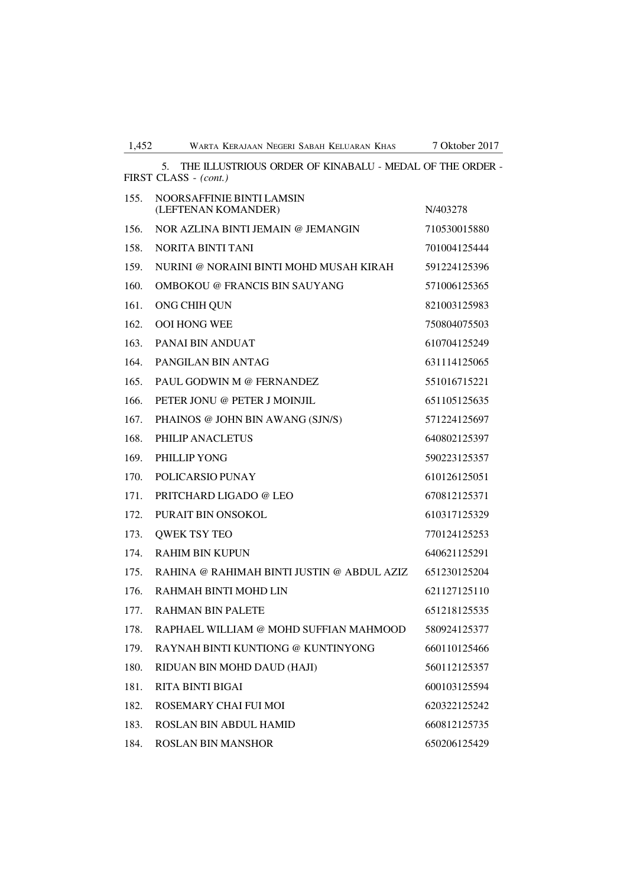| 1,452<br>WARTA KERAJAAN NEGERI SABAH KELUARAN KHAS | 7 Oktober 2017 |
|----------------------------------------------------|----------------|
|----------------------------------------------------|----------------|

|      | THE ILLUSTRIOUS ORDER OF KINABALU - MEDAL OF THE ORDER -<br>5.<br>FIRST CLASS - (cont.) |              |
|------|-----------------------------------------------------------------------------------------|--------------|
| 155. | NOORSAFFINIE BINTI LAMSIN<br>(LEFTENAN KOMANDER)                                        | N/403278     |
| 156. | NOR AZLINA BINTI JEMAIN @ JEMANGIN                                                      | 710530015880 |
| 158. | <b>NORITA BINTI TANI</b>                                                                | 701004125444 |
| 159. | NURINI @ NORAINI BINTI MOHD MUSAH KIRAH                                                 | 591224125396 |
| 160. | <b>OMBOKOU @ FRANCIS BIN SAUYANG</b>                                                    | 571006125365 |
| 161. | ONG CHIH QUN                                                                            | 821003125983 |
| 162. | <b>OOI HONG WEE</b>                                                                     | 750804075503 |
| 163. | PANAI BIN ANDUAT                                                                        | 610704125249 |
| 164. | PANGILAN BIN ANTAG                                                                      | 631114125065 |
| 165. | PAUL GODWIN M @ FERNANDEZ                                                               | 551016715221 |
| 166. | PETER JONU @ PETER J MOINJIL                                                            | 651105125635 |
| 167. | PHAINOS @ JOHN BIN AWANG (SJN/S)                                                        | 571224125697 |
| 168. | PHILIP ANACLETUS                                                                        | 640802125397 |
| 169. | PHILLIP YONG                                                                            | 590223125357 |
| 170. | POLICARSIO PUNAY                                                                        | 610126125051 |
| 171. | PRITCHARD LIGADO @ LEO                                                                  | 670812125371 |
| 172. | PURAIT BIN ONSOKOL                                                                      | 610317125329 |
| 173. | <b>QWEK TSY TEO</b>                                                                     | 770124125253 |
| 174. | <b>RAHIM BIN KUPUN</b>                                                                  | 640621125291 |
| 175. | RAHINA @ RAHIMAH BINTI JUSTIN @ ABDUL AZIZ                                              | 651230125204 |
| 176. | RAHMAH BINTI MOHD LIN                                                                   | 621127125110 |
| 177. | <b>RAHMAN BIN PALETE</b>                                                                | 651218125535 |
| 178. | RAPHAEL WILLIAM @ MOHD SUFFIAN MAHMOOD                                                  | 580924125377 |
| 179. | RAYNAH BINTI KUNTIONG @ KUNTINYONG                                                      | 660110125466 |
| 180. | RIDUAN BIN MOHD DAUD (HAJI)                                                             | 560112125357 |
| 181. | <b>RITA BINTI BIGAI</b>                                                                 | 600103125594 |
| 182. | ROSEMARY CHAI FUI MOI                                                                   | 620322125242 |
| 183. | <b>ROSLAN BIN ABDUL HAMID</b>                                                           | 660812125735 |
| 184. | <b>ROSLAN BIN MANSHOR</b>                                                               | 650206125429 |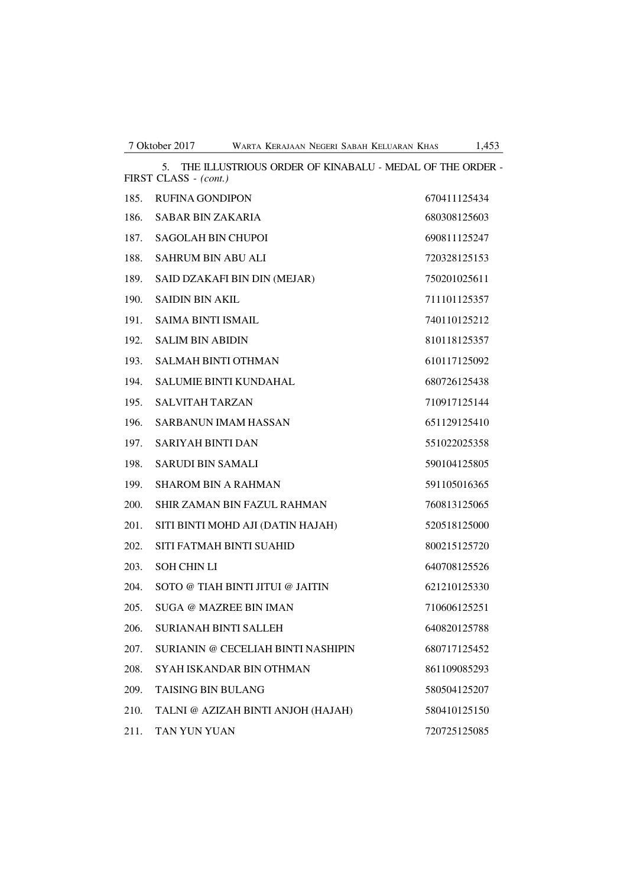|      | THE ILLUSTRIOUS ORDER OF KINABALU - MEDAL OF THE ORDER -<br>5.<br>FIRST CLASS - (cont.) |              |
|------|-----------------------------------------------------------------------------------------|--------------|
| 185. | <b>RUFINA GONDIPON</b>                                                                  | 670411125434 |
| 186. | SABAR BIN ZAKARIA                                                                       | 680308125603 |
| 187. | <b>SAGOLAH BIN CHUPOI</b>                                                               | 690811125247 |
| 188. | <b>SAHRUM BIN ABU ALI</b>                                                               | 720328125153 |
| 189. | SAID DZAKAFI BIN DIN (MEJAR)                                                            | 750201025611 |
| 190. | <b>SAIDIN BIN AKIL</b>                                                                  | 711101125357 |
| 191. | <b>SAIMA BINTI ISMAIL</b>                                                               | 740110125212 |
| 192. | <b>SALIM BIN ABIDIN</b>                                                                 | 810118125357 |
| 193. | <b>SALMAH BINTI OTHMAN</b>                                                              | 610117125092 |
| 194. | <b>SALUMIE BINTI KUNDAHAL</b>                                                           | 680726125438 |
| 195. | <b>SALVITAH TARZAN</b>                                                                  | 710917125144 |
| 196. | <b>SARBANUN IMAM HASSAN</b>                                                             | 651129125410 |
| 197. | <b>SARIYAH BINTI DAN</b>                                                                | 551022025358 |
| 198. | <b>SARUDI BIN SAMALI</b>                                                                | 590104125805 |
| 199. | <b>SHAROM BIN A RAHMAN</b>                                                              | 591105016365 |
| 200. | SHIR ZAMAN BIN FAZUL RAHMAN                                                             | 760813125065 |
| 201. | SITI BINTI MOHD AJI (DATIN HAJAH)                                                       | 520518125000 |
| 202. | SITI FATMAH BINTI SUAHID                                                                | 800215125720 |
| 203. | <b>SOH CHIN LI</b>                                                                      | 640708125526 |
| 204. | SOTO @ TIAH BINTI JITUI @ JAITIN                                                        | 621210125330 |
| 205. | <b>SUGA @ MAZREE BIN IMAN</b>                                                           | 710606125251 |
| 206. | <b>SURIANAH BINTI SALLEH</b>                                                            | 640820125788 |
| 207. | SURIANIN @ CECELIAH BINTI NASHIPIN                                                      | 680717125452 |
| 208. | <b>SYAH ISKANDAR BIN OTHMAN</b>                                                         | 861109085293 |
| 209. | <b>TAISING BIN BULANG</b>                                                               | 580504125207 |
| 210. | TALNI @ AZIZAH BINTI ANJOH (HAJAH)                                                      | 580410125150 |
| 211. | TAN YUN YUAN                                                                            | 720725125085 |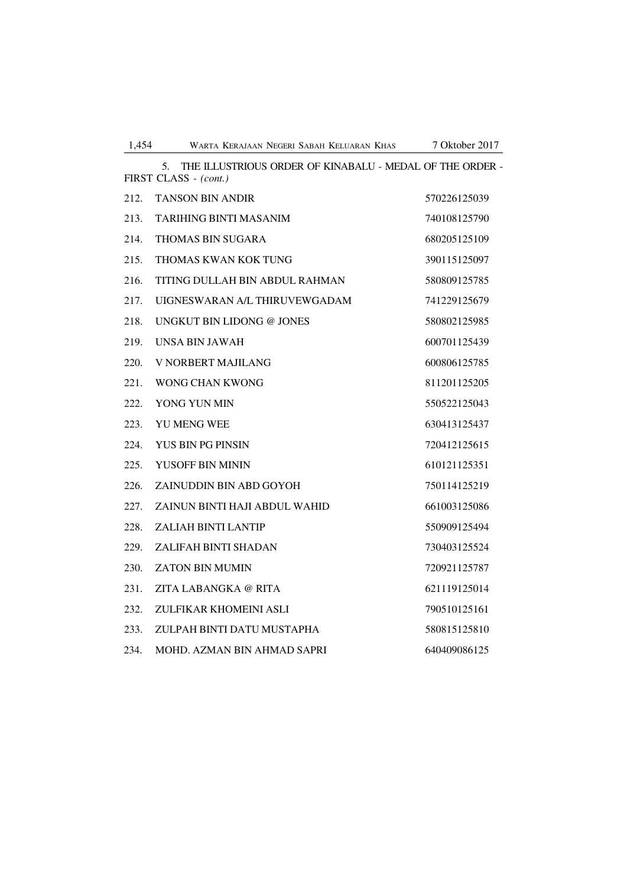|      | THE ILLUSTRIOUS ORDER OF KINABALU - MEDAL OF THE ORDER -<br>5.<br>FIRST CLASS - (cont.) |              |
|------|-----------------------------------------------------------------------------------------|--------------|
| 212. | <b>TANSON BIN ANDIR</b>                                                                 | 570226125039 |
| 213. | <b>TARIHING BINTI MASANIM</b>                                                           | 740108125790 |
| 214. | <b>THOMAS BIN SUGARA</b>                                                                | 680205125109 |
| 215. | THOMAS KWAN KOK TUNG                                                                    | 390115125097 |
| 216. | TITING DULLAH BIN ABDUL RAHMAN                                                          | 580809125785 |
| 217. | UIGNESWARAN A/L THIRUVEWGADAM                                                           | 741229125679 |
| 218. | UNGKUT BIN LIDONG @ JONES                                                               | 580802125985 |
| 219. | UNSA BIN JAWAH                                                                          | 600701125439 |
| 220. | V NORBERT MAJILANG                                                                      | 600806125785 |
| 221. | <b>WONG CHAN KWONG</b>                                                                  | 811201125205 |
| 222. | YONG YUN MIN                                                                            | 550522125043 |
| 223. | YU MENG WEE                                                                             | 630413125437 |
| 224. | YUS BIN PG PINSIN                                                                       | 720412125615 |
| 225. | YUSOFF BIN MININ                                                                        | 610121125351 |
| 226. | ZAINUDDIN BIN ABD GOYOH                                                                 | 750114125219 |
| 227. | ZAINUN BINTI HAJI ABDUL WAHID                                                           | 661003125086 |
| 228. | <b>ZALIAH BINTI LANTIP</b>                                                              | 550909125494 |
| 229. | ZALIFAH BINTI SHADAN                                                                    | 730403125524 |
| 230. | <b>ZATON BIN MUMIN</b>                                                                  | 720921125787 |
| 231. | ZITA LABANGKA @ RITA                                                                    | 621119125014 |
| 232. | ZULFIKAR KHOMEINI ASLI                                                                  | 790510125161 |
| 233. | ZULPAH BINTI DATU MUSTAPHA                                                              | 580815125810 |
| 234. | MOHD. AZMAN BIN AHMAD SAPRI                                                             | 640409086125 |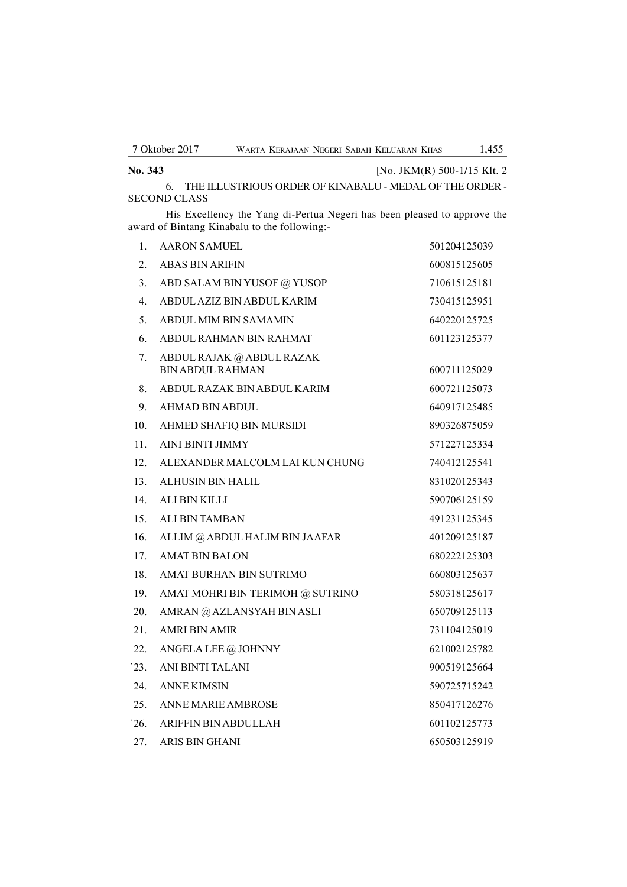**No. 343** [No. JKM(R) 500-1/15 Klt. 2

6. THE ILLUSTRIOUS ORDER OF KINABALU - MEDAL OF THE ORDER - SECOND CLASS

His Excellency the Yang di-Pertua Negeri has been pleased to approve the award of Bintang Kinabalu to the following:-

| 1.               | <b>AARON SAMUEL</b>                                  | 501204125039 |
|------------------|------------------------------------------------------|--------------|
| $\overline{2}$ . | <b>ABAS BIN ARIFIN</b>                               | 600815125605 |
| 3.               | ABD SALAM BIN YUSOF @ YUSOP                          | 710615125181 |
| 4.               | ABDUL AZIZ BIN ABDUL KARIM                           | 730415125951 |
| 5.               | ABDUL MIM BIN SAMAMIN                                | 640220125725 |
| 6.               | ABDUL RAHMAN BIN RAHMAT                              | 601123125377 |
| 7.               | ABDUL RAJAK @ ABDUL RAZAK<br><b>BIN ABDUL RAHMAN</b> | 600711125029 |
| 8.               | ABDUL RAZAK BIN ABDUL KARIM                          | 600721125073 |
| 9.               | AHMAD BIN ABDUL                                      | 640917125485 |
| 10.              | AHMED SHAFIQ BIN MURSIDI                             | 890326875059 |
| 11.              | AINI BINTI JIMMY                                     | 571227125334 |
| 12.              | ALEXANDER MALCOLM LAI KUN CHUNG                      | 740412125541 |
| 13.              | ALHUSIN BIN HALIL                                    | 831020125343 |
| 14.              | ALI BIN KILLI                                        | 590706125159 |
| 15.              | <b>ALI BIN TAMBAN</b>                                | 491231125345 |
| 16.              | ALLIM @ ABDUL HALIM BIN JAAFAR                       | 401209125187 |
| 17 <sub>1</sub>  | <b>AMAT BIN BALON</b>                                | 680222125303 |
| 18.              | AMAT BURHAN BIN SUTRIMO                              | 660803125637 |
| 19.              | AMAT MOHRI BIN TERIMOH @ SUTRINO                     | 580318125617 |
| 20.              | AMRAN @ AZLANSYAH BIN ASLI                           | 650709125113 |
| 21.              | <b>AMRI BIN AMIR</b>                                 | 731104125019 |
| 22.              | ANGELA LEE @ JOHNNY                                  | 621002125782 |
| 23.              | ANI BINTI TALANI                                     | 900519125664 |
| 24.              | <b>ANNE KIMSIN</b>                                   | 590725715242 |
| 25.              | <b>ANNE MARIE AMBROSE</b>                            | 850417126276 |
| 26.              | ARIFFIN BIN ABDULLAH                                 | 601102125773 |
| 27.              | ARIS BIN GHANI                                       | 650503125919 |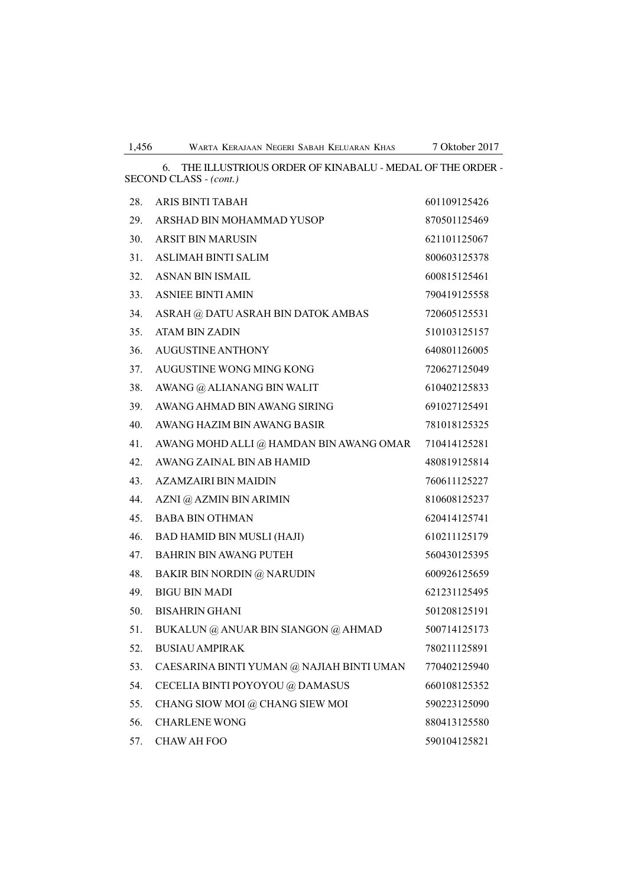6. THE ILLUSTRIOUS ORDER OF KINABALU - MEDAL OF THE ORDER - SECOND CLASS - *(cont.)*

| 28. | ARIS BINTI TABAH                          | 601109125426 |
|-----|-------------------------------------------|--------------|
| 29. | ARSHAD BIN MOHAMMAD YUSOP                 | 870501125469 |
| 30. | <b>ARSIT BIN MARUSIN</b>                  | 621101125067 |
| 31. | <b>ASLIMAH BINTI SALIM</b>                | 800603125378 |
| 32. | <b>ASNAN BIN ISMAIL</b>                   | 600815125461 |
| 33. | <b>ASNIEE BINTI AMIN</b>                  | 790419125558 |
| 34. | ASRAH @ DATU ASRAH BIN DATOK AMBAS        | 720605125531 |
| 35. | <b>ATAM BIN ZADIN</b>                     | 510103125157 |
| 36. | <b>AUGUSTINE ANTHONY</b>                  | 640801126005 |
| 37. | AUGUSTINE WONG MING KONG                  | 720627125049 |
| 38. | AWANG @ ALIANANG BIN WALIT                | 610402125833 |
| 39. | AWANG AHMAD BIN AWANG SIRING              | 691027125491 |
| 40. | AWANG HAZIM BIN AWANG BASIR               | 781018125325 |
| 41. | AWANG MOHD ALLI @ HAMDAN BIN AWANG OMAR   | 710414125281 |
| 42. | AWANG ZAINAL BIN AB HAMID                 | 480819125814 |
| 43. | AZAMZAIRI BIN MAIDIN                      | 760611125227 |
| 44. | AZNI @ AZMIN BIN ARIMIN                   | 810608125237 |
| 45. | <b>BABA BIN OTHMAN</b>                    | 620414125741 |
| 46. | BAD HAMID BIN MUSLI (HAJI)                | 610211125179 |
| 47. | <b>BAHRIN BIN AWANG PUTEH</b>             | 560430125395 |
| 48. | <b>BAKIR BIN NORDIN @ NARUDIN</b>         | 600926125659 |
| 49. | <b>BIGU BIN MADI</b>                      | 621231125495 |
| 50. | <b>BISAHRIN GHANI</b>                     | 501208125191 |
| 51. | BUKALUN @ ANUAR BIN SIANGON @ AHMAD       | 500714125173 |
| 52. | <b>BUSIAU AMPIRAK</b>                     | 780211125891 |
| 53. | CAESARINA BINTI YUMAN @ NAJIAH BINTI UMAN | 770402125940 |
| 54. | CECELIA BINTI POYOYOU @ DAMASUS           | 660108125352 |
| 55. | CHANG SIOW MOI @ CHANG SIEW MOI           | 590223125090 |
| 56. | <b>CHARLENE WONG</b>                      | 880413125580 |
| 57. | CHAW AH FOO                               | 590104125821 |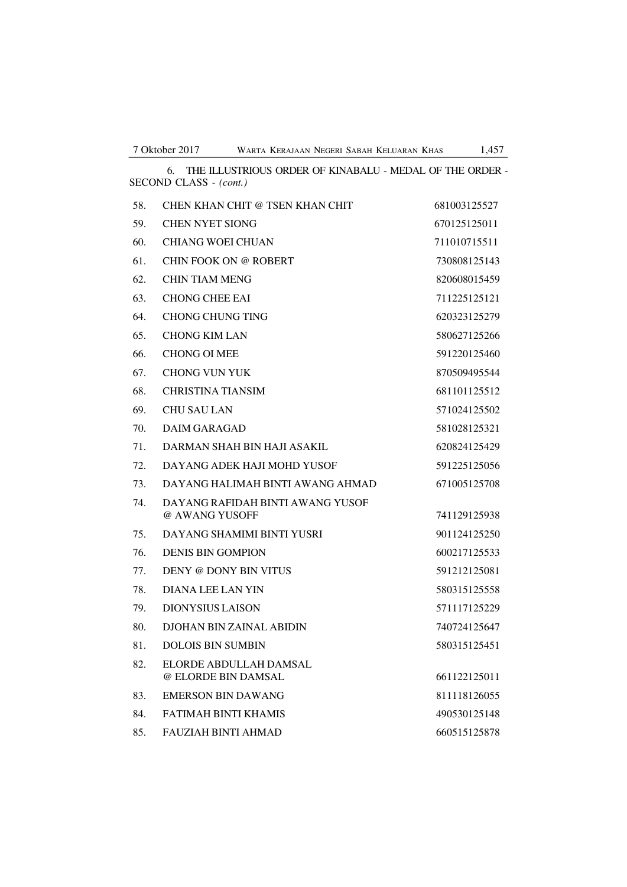SECOND CLASS - *(cont.)* 58. CHEN KHAN CHIT @ TSEN KHAN CHIT 681003125527 59. CHEN NYET SIONG 670125125011 60. CHIANG WOEI CHUAN 711010715511 61. CHIN FOOK ON @ ROBERT 730808125143 62. CHIN TIAM MENG 820608015459 63. CHONG CHEE EAI 711225125121 64. CHONG CHUNG TING 620323125279 65. CHONG KIM LAN 580627125266 66. CHONG OI MEE 591220125460 67. CHONG VUN YUK 870509495544 68. CHRISTINA TIANSIM 681101125512 69. CHU SAU LAN 571024125502 70. DAIM GARAGAD 581028125321 71. DARMAN SHAH BIN HAJI ASAKIL 620824125429 72. DAYANG ADEK HAJI MOHD YUSOF 591225125056 73. DAYANG HALIMAH BINTI AWANG AHMAD 671005125708 74. DAYANG RAFIDAH BINTI AWANG YUSOF @ AWANG YUSOFF 741129125938 75. DAYANG SHAMIMI BINTI YUSRI 901124125250 76. DENIS BIN GOMPION 600217125533 77. DENY @ DONY BIN VITUS 591212125081 78. DIANA LEE LAN YIN 580315125558 79. DIONYSIUS LAISON 571117125229 80. DJOHAN BIN ZAINAL ABIDIN 740724125647 81. DOLOIS BIN SUMBIN 580315125451 82. ELORDE ABDULLAH DAMSAL @ ELORDE BIN DAMSAL 661122125011 83. EMERSON BIN DAWANG 811118126055

84. FATIMAH BINTI KHAMIS 490530125148 85. FAUZIAH BINTI AHMAD 660515125878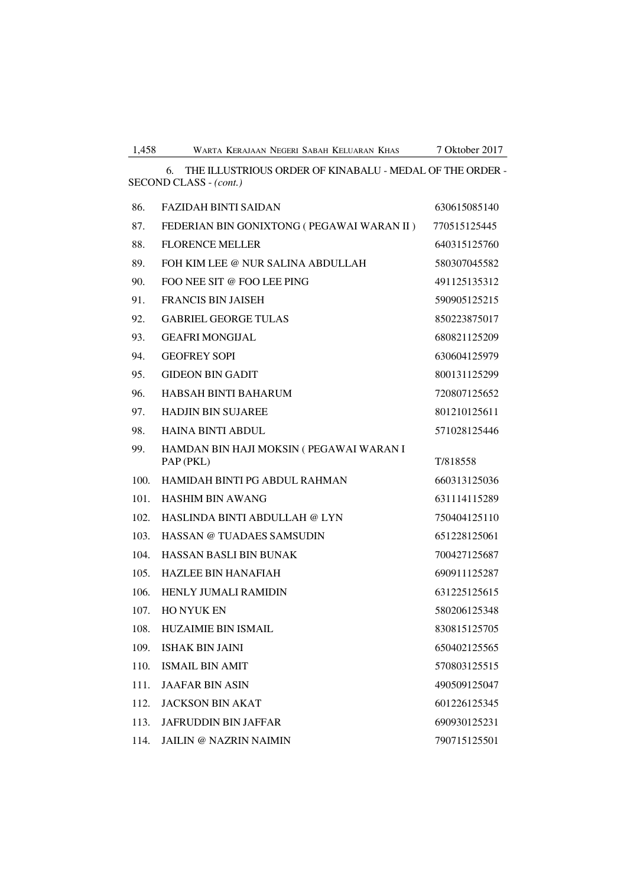6. THE ILLUSTRIOUS ORDER OF KINABALU - MEDAL OF THE ORDER - SECOND CLASS - *(cont.)*

| 86.  | <b>FAZIDAH BINTI SAIDAN</b>                           | 630615085140 |
|------|-------------------------------------------------------|--------------|
| 87.  | FEDERIAN BIN GONIXTONG ( PEGAWAI WARAN II )           | 770515125445 |
| 88.  | <b>FLORENCE MELLER</b>                                | 640315125760 |
| 89.  | FOH KIM LEE @ NUR SALINA ABDULLAH                     | 580307045582 |
| 90.  | FOO NEE SIT @ FOO LEE PING                            | 491125135312 |
| 91.  | <b>FRANCIS BIN JAISEH</b>                             | 590905125215 |
| 92.  | <b>GABRIEL GEORGE TULAS</b>                           | 850223875017 |
| 93.  | <b>GEAFRI MONGIJAL</b>                                | 680821125209 |
| 94.  | <b>GEOFREY SOPI</b>                                   | 630604125979 |
| 95.  | <b>GIDEON BIN GADIT</b>                               | 800131125299 |
| 96.  | <b>HABSAH BINTI BAHARUM</b>                           | 720807125652 |
| 97.  | <b>HADJIN BIN SUJAREE</b>                             | 801210125611 |
| 98.  | <b>HAINA BINTI ABDUL</b>                              | 571028125446 |
| 99.  | HAMDAN BIN HAJI MOKSIN ( PEGAWAI WARAN I<br>PAP (PKL) | T/818558     |
| 100. | HAMIDAH BINTI PG ABDUL RAHMAN                         | 660313125036 |
| 101. | <b>HASHIM BIN AWANG</b>                               | 631114115289 |
| 102. | HASLINDA BINTI ABDULLAH @ LYN                         | 750404125110 |
| 103. | HASSAN @ TUADAES SAMSUDIN                             | 651228125061 |
| 104. | HASSAN BASLI BIN BUNAK                                | 700427125687 |
| 105. | <b>HAZLEE BIN HANAFIAH</b>                            | 690911125287 |
| 106. | <b>HENLY JUMALI RAMIDIN</b>                           | 631225125615 |
| 107. | <b>HO NYUK EN</b>                                     | 580206125348 |
| 108. | <b>HUZAIMIE BIN ISMAIL</b>                            | 830815125705 |
| 109. | <b>ISHAK BIN JAINI</b>                                | 650402125565 |
| 110. | <b>ISMAIL BIN AMIT</b>                                | 570803125515 |
| 111. | <b>JAAFAR BIN ASIN</b>                                | 490509125047 |
| 112. | <b>JACKSON BIN AKAT</b>                               | 601226125345 |
| 113. | <b>JAFRUDDIN BIN JAFFAR</b>                           | 690930125231 |
| 114. | <b>JAILIN @ NAZRIN NAIMIN</b>                         | 790715125501 |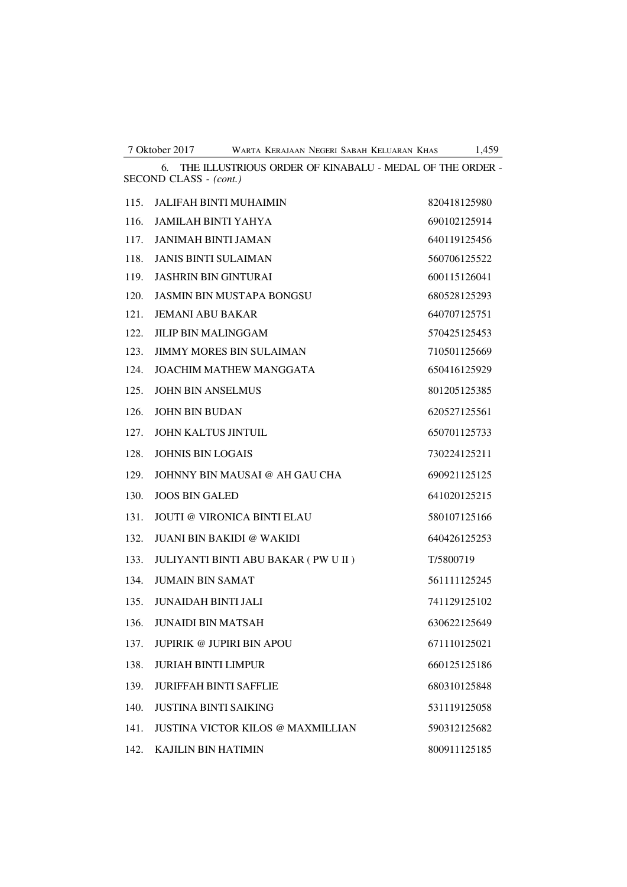6. THE ILLUSTRIOUS ORDER OF KINABALU - MEDAL OF THE ORDER -

| SECOND CLASS - (cont.) |                                          |              |  |
|------------------------|------------------------------------------|--------------|--|
| 115.                   | <b>JALIFAH BINTI MUHAIMIN</b>            | 820418125980 |  |
| 116.                   | JAMILAH BINTI YAHYA                      | 690102125914 |  |
| 117.                   | <b>JANIMAH BINTI JAMAN</b>               | 640119125456 |  |
| 118.                   | <b>JANIS BINTI SULAIMAN</b>              | 560706125522 |  |
| 119.                   | <b>JASHRIN BIN GINTURAI</b>              | 600115126041 |  |
| 120.                   | <b>JASMIN BIN MUSTAPA BONGSU</b>         | 680528125293 |  |
| 121.                   | <b>JEMANI ABU BAKAR</b>                  | 640707125751 |  |
| 122.                   | <b>JILIP BIN MALINGGAM</b>               | 570425125453 |  |
| 123.                   | <b>JIMMY MORES BIN SULAIMAN</b>          | 710501125669 |  |
| 124.                   | <b>JOACHIM MATHEW MANGGATA</b>           | 650416125929 |  |
| 125.                   | <b>JOHN BIN ANSELMUS</b>                 | 801205125385 |  |
| 126.                   | <b>JOHN BIN BUDAN</b>                    | 620527125561 |  |
| 127.                   | JOHN KALTUS JINTUIL                      | 650701125733 |  |
| 128.                   | <b>JOHNIS BIN LOGAIS</b>                 | 730224125211 |  |
| 129.                   | JOHNNY BIN MAUSAI @ AH GAU CHA           | 690921125125 |  |
| 130.                   | <b>JOOS BIN GALED</b>                    | 641020125215 |  |
| 131.                   | <b>JOUTI @ VIRONICA BINTI ELAU</b>       | 580107125166 |  |
| 132.                   | <b>JUANI BIN BAKIDI @ WAKIDI</b>         | 640426125253 |  |
| 133.                   | JULIYANTI BINTI ABU BAKAR ( PW U II )    | T/5800719    |  |
| 134.                   | <b>JUMAIN BIN SAMAT</b>                  | 561111125245 |  |
| 135.                   | <b>JUNAIDAH BINTI JALI</b>               | 741129125102 |  |
| 136.                   | <b>JUNAIDI BIN MATSAH</b>                | 630622125649 |  |
|                        | 137. JUPIRIK @ JUPIRI BIN APOU           | 671110125021 |  |
| 138.                   | <b>JURIAH BINTI LIMPUR</b>               | 660125125186 |  |
| 139.                   | <b>JURIFFAH BINTI SAFFLIE</b>            | 680310125848 |  |
| 140.                   | <b>JUSTINA BINTI SAIKING</b>             | 531119125058 |  |
| 141.                   | <b>JUSTINA VICTOR KILOS @ MAXMILLIAN</b> | 590312125682 |  |
| 142.                   | KAJILIN BIN HATIMIN                      | 800911125185 |  |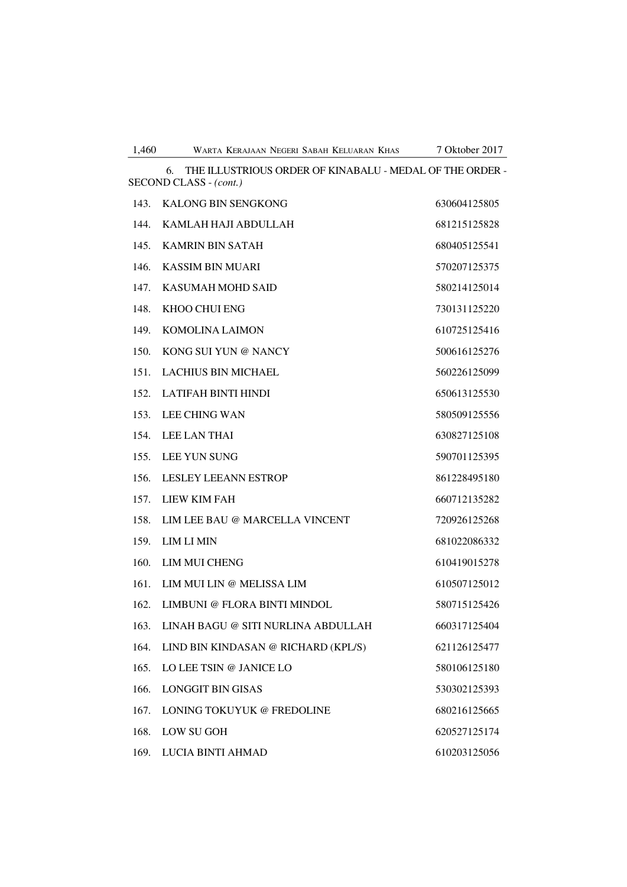| THE ILLUSTRIOUS ORDER OF KINABALU - MEDAL OF THE ORDER -<br>6.<br>SECOND CLASS - (cont.) |                                     |              |  |  |
|------------------------------------------------------------------------------------------|-------------------------------------|--------------|--|--|
|                                                                                          | 143. KALONG BIN SENGKONG            | 630604125805 |  |  |
| 144.                                                                                     | KAMLAH HAJI ABDULLAH                | 681215125828 |  |  |
| 145.                                                                                     | <b>KAMRIN BIN SATAH</b>             | 680405125541 |  |  |
| 146.                                                                                     | <b>KASSIM BIN MUARI</b>             | 570207125375 |  |  |
| 147.                                                                                     | <b>KASUMAH MOHD SAID</b>            | 580214125014 |  |  |
| 148.                                                                                     | KHOO CHUI ENG                       | 730131125220 |  |  |
| 149.                                                                                     | <b>KOMOLINA LAIMON</b>              | 610725125416 |  |  |
| 150.                                                                                     | KONG SUI YUN @ NANCY                | 500616125276 |  |  |
| 151.                                                                                     | <b>LACHIUS BIN MICHAEL</b>          | 560226125099 |  |  |
| 152.                                                                                     | LATIFAH BINTI HINDI                 | 650613125530 |  |  |
| 153.                                                                                     | <b>LEE CHING WAN</b>                | 580509125556 |  |  |
| 154.                                                                                     | <b>LEE LAN THAI</b>                 | 630827125108 |  |  |
| 155.                                                                                     | <b>LEE YUN SUNG</b>                 | 590701125395 |  |  |
| 156.                                                                                     | <b>LESLEY LEEANN ESTROP</b>         | 861228495180 |  |  |
| 157.                                                                                     | LIEW KIM FAH                        | 660712135282 |  |  |
| 158.                                                                                     | LIM LEE BAU @ MARCELLA VINCENT      | 720926125268 |  |  |
| 159.                                                                                     | <b>LIM LI MIN</b>                   | 681022086332 |  |  |
| 160.                                                                                     | LIM MUI CHENG                       | 610419015278 |  |  |
| 161.                                                                                     | LIM MUI LIN @ MELISSA LIM           | 610507125012 |  |  |
| 162.                                                                                     | LIMBUNI @ FLORA BINTI MINDOL        | 580715125426 |  |  |
| 163.                                                                                     | LINAH BAGU @ SITI NURLINA ABDULLAH  | 660317125404 |  |  |
| 164.                                                                                     | LIND BIN KINDASAN @ RICHARD (KPL/S) | 621126125477 |  |  |
| 165.                                                                                     | LO LEE TSIN @ JANICE LO             | 580106125180 |  |  |
| 166.                                                                                     | <b>LONGGIT BIN GISAS</b>            | 530302125393 |  |  |
| 167.                                                                                     | LONING TOKUYUK @ FREDOLINE          | 680216125665 |  |  |
| 168.                                                                                     | <b>LOW SU GOH</b>                   | 620527125174 |  |  |
| 169.                                                                                     | LUCIA BINTI AHMAD                   | 610203125056 |  |  |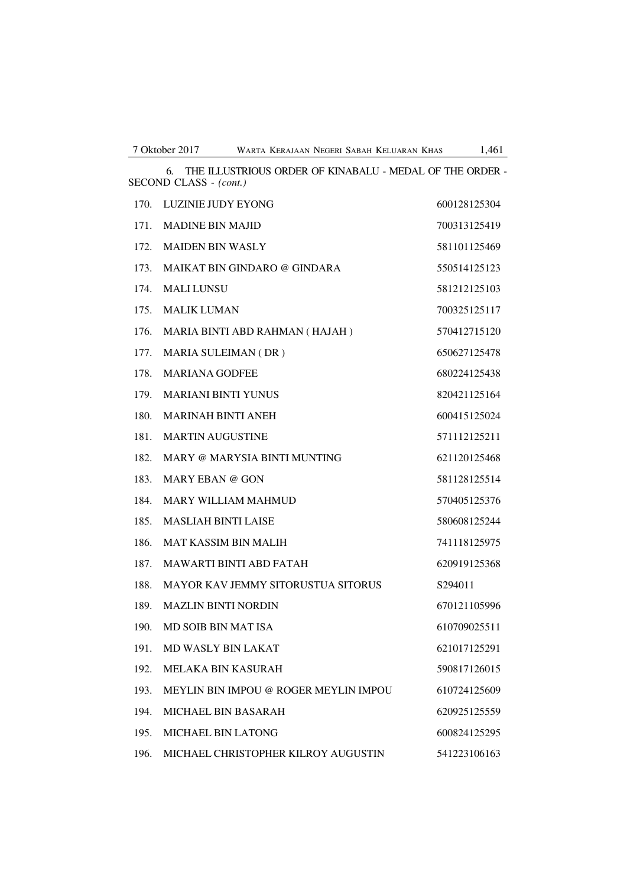| SECOND CLASS - (cont.) |                                           |              |  |
|------------------------|-------------------------------------------|--------------|--|
| 170.                   | LUZINIE JUDY EYONG                        | 600128125304 |  |
| 171.                   | <b>MADINE BIN MAJID</b>                   | 700313125419 |  |
| 172.                   | <b>MAIDEN BIN WASLY</b>                   | 581101125469 |  |
| 173.                   | MAIKAT BIN GINDARO @ GINDARA              | 550514125123 |  |
| 174.                   | <b>MALI LUNSU</b>                         | 581212125103 |  |
| 175.                   | <b>MALIK LUMAN</b>                        | 700325125117 |  |
| 176.                   | MARIA BINTI ABD RAHMAN (HAJAH)            | 570412715120 |  |
| 177.                   | MARIA SULEIMAN (DR)                       | 650627125478 |  |
| 178.                   | <b>MARIANA GODFEE</b>                     | 680224125438 |  |
| 179.                   | <b>MARIANI BINTI YUNUS</b>                | 820421125164 |  |
| 180.                   | <b>MARINAH BINTI ANEH</b>                 | 600415125024 |  |
| 181.                   | <b>MARTIN AUGUSTINE</b>                   | 571112125211 |  |
| 182.                   | MARY @ MARYSIA BINTI MUNTING              | 621120125468 |  |
| 183.                   | MARY EBAN @ GON                           | 581128125514 |  |
| 184.                   | <b>MARY WILLIAM MAHMUD</b>                | 570405125376 |  |
| 185.                   | <b>MASLIAH BINTI LAISE</b>                | 580608125244 |  |
| 186.                   | <b>MAT KASSIM BIN MALIH</b>               | 741118125975 |  |
| 187.                   | <b>MAWARTI BINTI ABD FATAH</b>            | 620919125368 |  |
| 188.                   | <b>MAYOR KAV JEMMY SITORUSTUA SITORUS</b> | S294011      |  |
| 189.                   | <b>MAZLIN BINTI NORDIN</b>                | 670121105996 |  |
| 190.                   | MD SOIB BIN MAT ISA                       | 610709025511 |  |
| 191.                   | MD WASLY BIN LAKAT                        | 621017125291 |  |
| 192.                   | <b>MELAKA BIN KASURAH</b>                 | 590817126015 |  |
| 193.                   | MEYLIN BIN IMPOU @ ROGER MEYLIN IMPOU     | 610724125609 |  |
| 194.                   | <b>MICHAEL BIN BASARAH</b>                | 620925125559 |  |
| 195.                   | <b>MICHAEL BIN LATONG</b>                 | 600824125295 |  |
| 196.                   | MICHAEL CHRISTOPHER KILROY AUGUSTIN       | 541223106163 |  |

6. THE ILLUSTRIOUS ORDER OF KINABALU - MEDAL OF THE ORDER -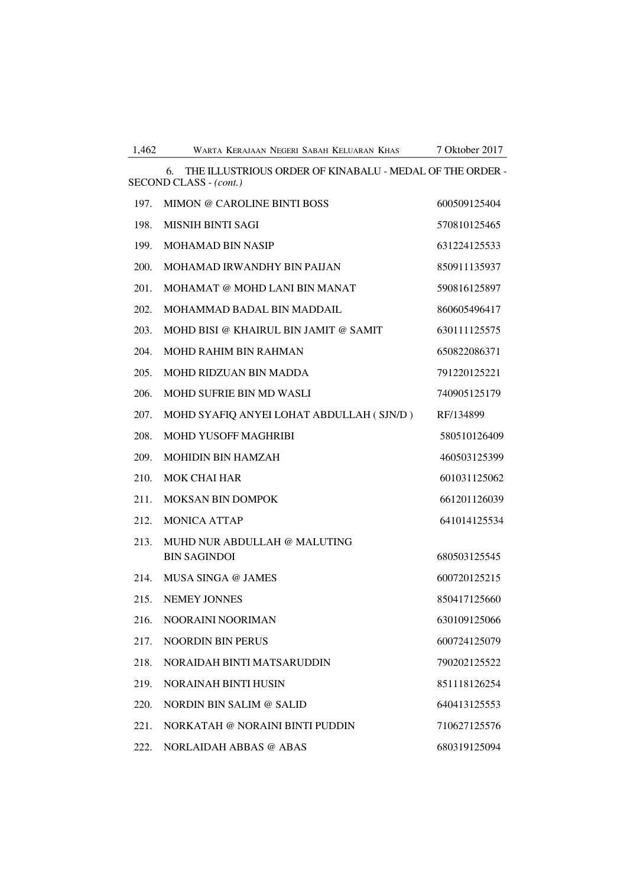| 1.462<br>WARTA KERAJAAN NEGERI SABAH KELUARAN KHAS | 7 Oktober 2017 |
|----------------------------------------------------|----------------|
|----------------------------------------------------|----------------|

6. THE ILLUSTRIOUS ORDER OF KINABALU - MEDAL OF THE ORDER - SECOND CLASS - *(cont.)* 197. MIMON @ CAROLINE BINTI BOSS 600509125404 198. MISNIH BINTI SAGI 570810125465 199. MOHAMAD BIN NASIP 631224125533 200. MOHAMAD IRWANDHY BIN PAIJAN 850911135937 201. MOHAMAT @ MOHD LANI BIN MANAT 390816125897 202. MOHAMMAD BADAL BIN MADDAIL 860605496417

| 203. | MOHD BISI @ KHAIRUL BIN JAMIT @ SAMIT    | 630111125575 |
|------|------------------------------------------|--------------|
| 204. | <b>MOHD RAHIM BIN RAHMAN</b>             | 650822086371 |
| 205. | <b>MOHD RIDZUAN BIN MADDA</b>            | 791220125221 |
| 206. | <b>MOHD SUFRIE BIN MD WASLI</b>          | 740905125179 |
| 207. | MOHD SYAFIQ ANYEI LOHAT ABDULLAH (SJN/D) | RF/134899    |
| 208. | <b>MOHD YUSOFF MAGHRIBI</b>              | 580510126409 |
| 209. | <b>MOHIDIN BIN HAMZAH</b>                | 460503125399 |
| 210. | <b>MOK CHAI HAR</b>                      | 601031125062 |
| 211. | <b>MOKSAN BIN DOMPOK</b>                 | 661201126039 |
| 212. | <b>MONICA ATTAP</b>                      | 641014125534 |
| 213. | MUHD NUR ABDULLAH @ MALUTING             |              |
|      | <b>BIN SAGINDOI</b>                      | 680503125545 |
| 214. | MUSA SINGA @ JAMES                       | 600720125215 |
| 215. | <b>NEMEY JONNES</b>                      | 850417125660 |
| 216. | NOORAINI NOORIMAN                        | 630109125066 |
| 217. | <b>NOORDIN BIN PERUS</b>                 | 600724125079 |
| 218. | NORAIDAH BINTI MATSARUDDIN               | 790202125522 |
| 219. | <b>NORAINAH BINTI HUSIN</b>              | 851118126254 |
| 220. | NORDIN BIN SALIM @ SALID                 | 640413125553 |
| 221. | NORKATAH @ NORAINI BINTI PUDDIN          | 710627125576 |

222. NORLAIDAH ABBAS @ ABAS 680319125094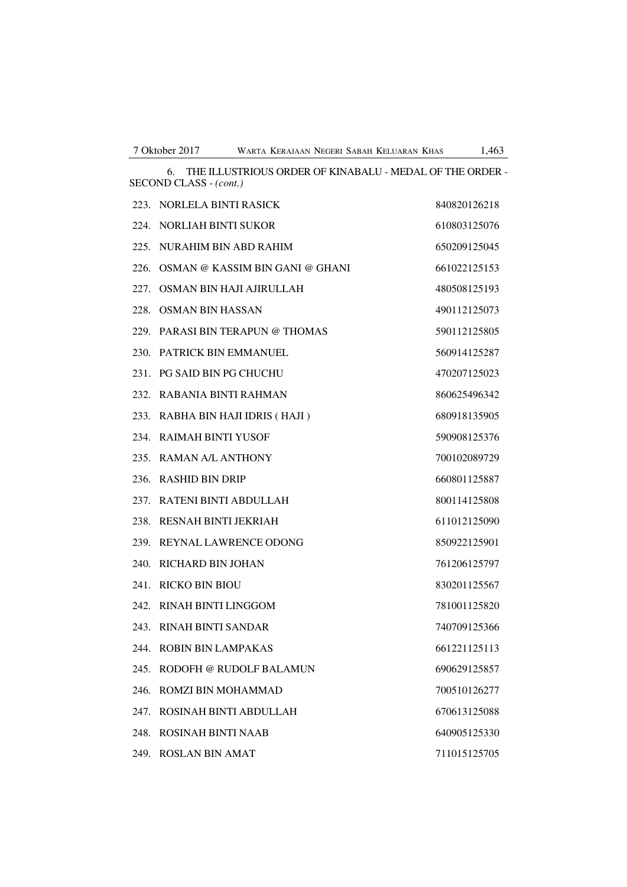6. THE ILLUSTRIOUS ORDER OF KINABALU - MEDAL OF THE ORDER - SECOND CLASS - *(cont.)*

|      | 223. NORLELA BINTI RASICK        | 840820126218 |
|------|----------------------------------|--------------|
|      | 224. NORLIAH BINTI SUKOR         | 610803125076 |
|      | 225. NURAHIM BIN ABD RAHIM       | 650209125045 |
| 226. | OSMAN @ KASSIM BIN GANI @ GHANI  | 661022125153 |
| 227. | OSMAN BIN HAJI AJIRULLAH         | 480508125193 |
|      | 228. OSMAN BIN HASSAN            | 490112125073 |
|      | 229. PARASI BIN TERAPUN @ THOMAS | 590112125805 |
|      | 230. PATRICK BIN EMMANUEL        | 560914125287 |
|      | 231. PG SAID BIN PG CHUCHU       | 470207125023 |
|      | 232. RABANIA BINTI RAHMAN        | 860625496342 |
|      | 233. RABHA BIN HAJI IDRIS (HAJI) | 680918135905 |
|      | 234. RAIMAH BINTI YUSOF          | 590908125376 |
|      | 235. RAMAN A/L ANTHONY           | 700102089729 |
| 236. | <b>RASHID BIN DRIP</b>           | 660801125887 |
|      | 237. RATENI BINTI ABDULLAH       | 800114125808 |
|      | 238. RESNAH BINTI JEKRIAH        | 611012125090 |
| 239. | REYNAL LAWRENCE ODONG            | 850922125901 |
|      | 240. RICHARD BIN JOHAN           | 761206125797 |
|      | 241. RICKO BIN BIOU              | 830201125567 |
|      | 242. RINAH BINTI LINGGOM         | 781001125820 |
|      | 243. RINAH BINTI SANDAR          | 740709125366 |
|      | 244. ROBIN BIN LAMPAKAS          | 661221125113 |
|      | 245. RODOFH @ RUDOLF BALAMUN     | 690629125857 |
| 246. | ROMZI BIN MOHAMMAD               | 700510126277 |
| 247. | ROSINAH BINTI ABDULLAH           | 670613125088 |
|      | 248. ROSINAH BINTI NAAB          | 640905125330 |
|      | 249. ROSLAN BIN AMAT             | 711015125705 |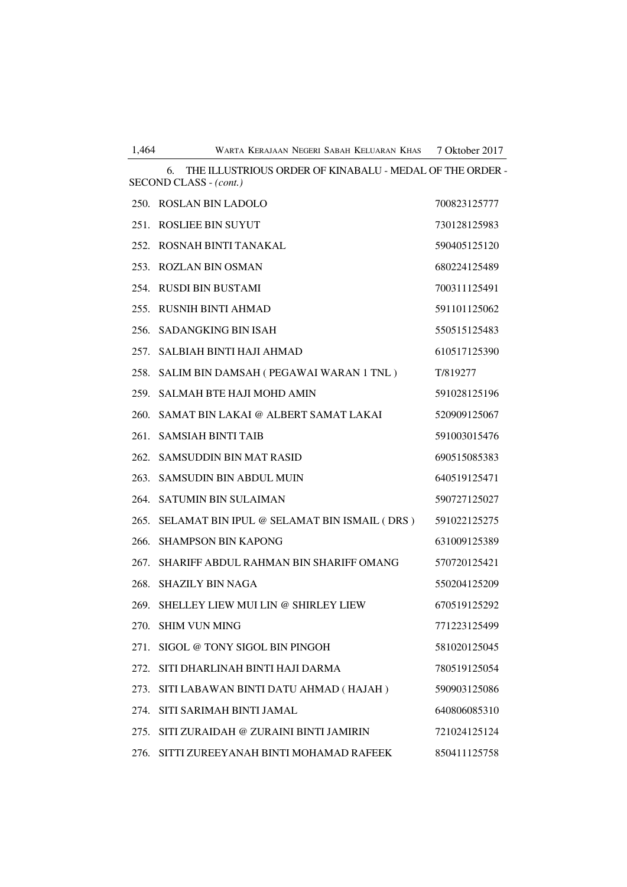|      | THE ILLUSTRIOUS ORDER OF KINABALU - MEDAL OF THE ORDER -<br>6.<br>SECOND CLASS - (cont.) |              |
|------|------------------------------------------------------------------------------------------|--------------|
|      | 250. ROSLAN BIN LADOLO                                                                   | 700823125777 |
| 251. | <b>ROSLIEE BIN SUYUT</b>                                                                 | 730128125983 |
|      | 252. ROSNAH BINTI TANAKAL                                                                | 590405125120 |
| 253. | <b>ROZLAN BIN OSMAN</b>                                                                  | 680224125489 |
| 254. | <b>RUSDI BIN BUSTAMI</b>                                                                 | 700311125491 |
| 255. | <b>RUSNIH BINTI AHMAD</b>                                                                | 591101125062 |
| 256. | <b>SADANGKING BIN ISAH</b>                                                               | 550515125483 |
| 257. | SALBIAH BINTI HAJI AHMAD                                                                 | 610517125390 |
| 258. | SALIM BIN DAMSAH ( PEGAWAI WARAN 1 TNL )                                                 | T/819277     |
| 259. | <b>SALMAH BTE HAJI MOHD AMIN</b>                                                         | 591028125196 |
| 260. | SAMAT BIN LAKAI @ ALBERT SAMAT LAKAI                                                     | 520909125067 |
|      | 261. SAMSIAH BINTI TAIB                                                                  | 591003015476 |
| 262. | <b>SAMSUDDIN BIN MAT RASID</b>                                                           | 690515085383 |
| 263. | <b>SAMSUDIN BIN ABDUL MUIN</b>                                                           | 640519125471 |
|      | 264. SATUMIN BIN SULAIMAN                                                                | 590727125027 |
| 265. | SELAMAT BIN IPUL @ SELAMAT BIN ISMAIL (DRS)                                              | 591022125275 |
| 266. | <b>SHAMPSON BIN KAPONG</b>                                                               | 631009125389 |
| 267. | SHARIFF ABDUL RAHMAN BIN SHARIFF OMANG                                                   | 570720125421 |
| 268. | <b>SHAZILY BIN NAGA</b>                                                                  | 550204125209 |
| 269. | SHELLEY LIEW MUI LIN @ SHIRLEY LIEW                                                      | 670519125292 |
| 270. | <b>SHIM VUN MING</b>                                                                     | 771223125499 |
| 271. | SIGOL @ TONY SIGOL BIN PINGOH                                                            | 581020125045 |
| 272. | SITI DHARLINAH BINTI HAJI DARMA                                                          | 780519125054 |
| 273. | SITI LABAWAN BINTI DATU AHMAD (HAJAH)                                                    | 590903125086 |
| 274. | SITI SARIMAH BINTI JAMAL                                                                 | 640806085310 |
| 275. | SITI ZURAIDAH @ ZURAINI BINTI JAMIRIN                                                    | 721024125124 |
| 276. | SITTI ZUREEYANAH BINTI MOHAMAD RAFEEK                                                    | 850411125758 |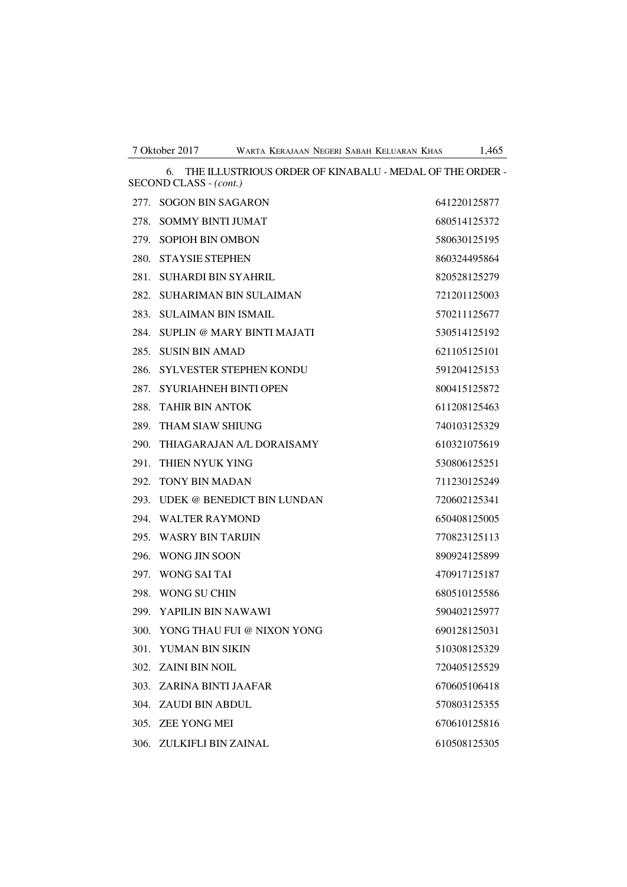6. THE ILLUSTRIOUS ORDER OF KINABALU - MEDAL OF THE ORDER - SECOND CLASS - *(cont.)* 277. SOGON BIN SAGARON 641220125877 278. SOMMY BINTI JUMAT 680514125372 279. SOPIOH BIN OMBON 580630125195 280. STAYSIE STEPHEN 860324495864 281. SUHARDI BIN SYAHRIL 820528125279 282. SUHARIMAN BIN SULAIMAN 721201125003 283. SULAIMAN BIN ISMAIL 570211125677 284. SUPLIN @ MARY BINTI MAJATI 530514125192 285. SUSIN BIN AMAD 621105125101 286. SYLVESTER STEPHEN KONDU 591204125153 287. SYURIAHNEH BINTI OPEN 800415125872 288. TAHIR BIN ANTOK 611208125463 289. THAM SIAW SHIUNG 289. 2002 2003125329 290. THIAGARAJAN A/L DORAISAMY 610321075619 291. THIEN NYUK YING 530806125251 292. TONY BIN MADAN 711230125249 293. UDEK @ BENEDICT BIN LUNDAN 720602125341 294. WALTER RAYMOND 650408125005 295. WASRY BIN TARIJIN 770823125113 296. WONG JIN SOON 890924125899 297. WONG SAI TAI 470917125187 298. WONG SU CHIN 680510125586 299. YAPILIN BIN NAWAWI 590402125977 300. YONG THAU FUI @ NIXON YONG 690128125031 301. YUMAN BIN SIKIN 510308125329 302. ZAINI BIN NOIL 720405125529 303. ZARINA BINTI JAAFAR 670605106418 304. ZAUDI BIN ABDUL 570803125355 305. ZEE YONG MEI 670610125816 306. ZULKIFLI BIN ZAINAL 610508125305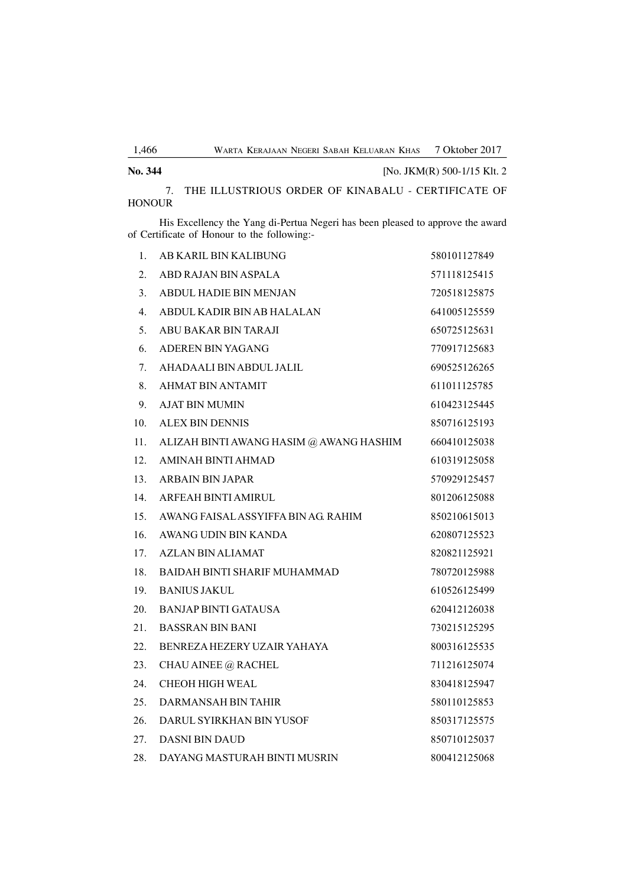7. THE ILLUSTRIOUS ORDER OF KINABALU - CERTIFICATE OF HONOUR

**No. 344** [No. JKM(R) 500-1/15 Klt. 2

His Excellency the Yang di-Pertua Negeri has been pleased to approve the award of Certificate of Honour to the following:-

| 1.  | AB KARIL BIN KALIBUNG                   | 580101127849 |
|-----|-----------------------------------------|--------------|
| 2.  | ABD RAJAN BIN ASPALA                    | 571118125415 |
| 3.  | <b>ABDUL HADIE BIN MENJAN</b>           | 720518125875 |
| 4.  | ABDUL KADIR BIN AB HALALAN              | 641005125559 |
| 5.  | ABU BAKAR BIN TARAJI                    | 650725125631 |
| 6.  | ADEREN BIN YAGANG                       | 770917125683 |
| 7.  | AHADAALI BIN ABDUL JALIL                | 690525126265 |
| 8.  | <b>AHMAT BIN ANTAMIT</b>                | 611011125785 |
| 9.  | <b>AJAT BIN MUMIN</b>                   | 610423125445 |
| 10. | ALEX BIN DENNIS                         | 850716125193 |
| 11. | ALIZAH BINTI AWANG HASIM @ AWANG HASHIM | 660410125038 |
| 12. | AMINAH BINTI AHMAD                      | 610319125058 |
| 13. | ARBAIN BIN JAPAR                        | 570929125457 |
| 14. | ARFEAH BINTI AMIRUL                     | 801206125088 |
| 15. | AWANG FAISAL ASSYIFFA BIN AG RAHIM      | 850210615013 |
| 16. | AWANG UDIN BIN KANDA                    | 620807125523 |
| 17. | <b>AZLAN BIN ALIAMAT</b>                | 820821125921 |
| 18. | <b>BAIDAH BINTI SHARIF MUHAMMAD</b>     | 780720125988 |
| 19. | <b>BANIUS JAKUL</b>                     | 610526125499 |
| 20. | <b>BANJAP BINTI GATAUSA</b>             | 620412126038 |
| 21. | <b>BASSRAN BIN BANI</b>                 | 730215125295 |
| 22. | BENREZA HEZERY UZAIR YAHAYA             | 800316125535 |
| 23. | CHAU AINEE @ RACHEL                     | 711216125074 |
| 24. | CHEOH HIGH WEAL                         | 830418125947 |
| 25. | DARMANSAH BIN TAHIR                     | 580110125853 |
| 26. | DARUL SYIRKHAN BIN YUSOF                | 850317125575 |
| 27. | DASNI BIN DAUD                          | 850710125037 |
| 28. | DAYANG MASTURAH BINTI MUSRIN            | 800412125068 |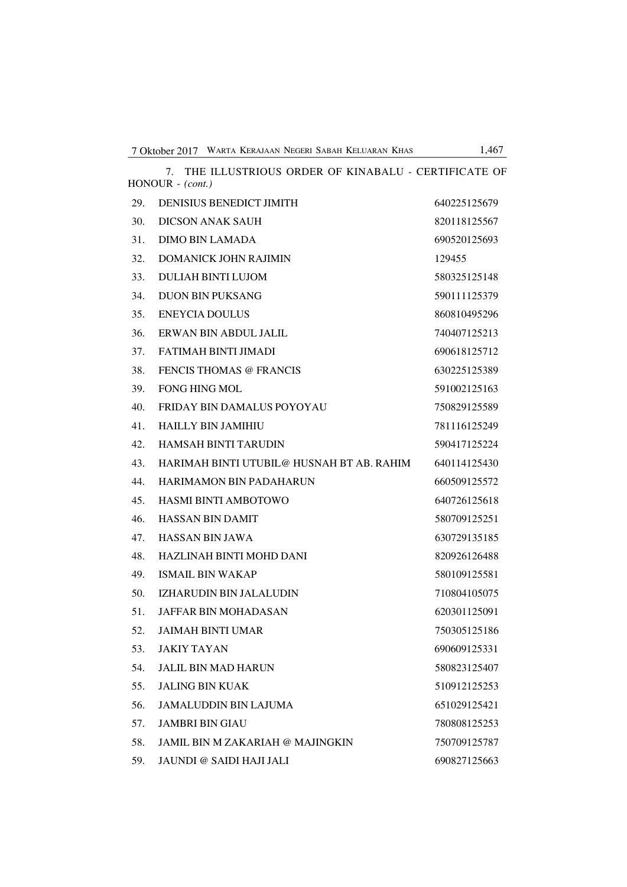|     | 7. THE ILLUSTRIOUS ORDER OF KINABALU - CERTIFICATE OF<br>HONOUR - (cont.) |              |
|-----|---------------------------------------------------------------------------|--------------|
| 29. | <b>DENISIUS BENEDICT JIMITH</b>                                           | 640225125679 |
| 30. | <b>DICSON ANAK SAUH</b>                                                   | 820118125567 |
| 31. | DIMO BIN LAMADA                                                           | 690520125693 |
| 32. | <b>DOMANICK JOHN RAJIMIN</b>                                              | 129455       |
| 33. | <b>DULIAH BINTI LUJOM</b>                                                 | 580325125148 |
| 34. | <b>DUON BIN PUKSANG</b>                                                   | 590111125379 |
| 35. | <b>ENEYCIA DOULUS</b>                                                     | 860810495296 |
| 36. | ERWAN BIN ABDUL JALIL                                                     | 740407125213 |
| 37. | FATIMAH BINTI JIMADI                                                      | 690618125712 |
| 38. | <b>FENCIS THOMAS @ FRANCIS</b>                                            | 630225125389 |
| 39. | FONG HING MOL                                                             | 591002125163 |
| 40. | FRIDAY BIN DAMALUS POYOYAU                                                | 750829125589 |
| 41. | <b>HAILLY BIN JAMIHIU</b>                                                 | 781116125249 |
| 42. | <b>HAMSAH BINTI TARUDIN</b>                                               | 590417125224 |
| 43. | HARIMAH BINTI UTUBIL@ HUSNAH BT AB. RAHIM                                 | 640114125430 |
| 44. | <b>HARIMAMON BIN PADAHARUN</b>                                            | 660509125572 |
| 45. | <b>HASMI BINTI AMBOTOWO</b>                                               | 640726125618 |
| 46. | <b>HASSAN BIN DAMIT</b>                                                   | 580709125251 |
| 47. | <b>HASSAN BIN JAWA</b>                                                    | 630729135185 |
| 48. | HAZLINAH BINTI MOHD DANI                                                  | 820926126488 |
| 49. | <b>ISMAIL BIN WAKAP</b>                                                   | 580109125581 |
| 50. | IZHARUDIN BIN JALALUDIN                                                   | 710804105075 |
| 51. | <b>JAFFAR BIN MOHADASAN</b>                                               | 620301125091 |
| 52. | JAIMAH BINTI UMAR                                                         | 750305125186 |
| 53. | <b>JAKIY TAYAN</b>                                                        | 690609125331 |
| 54. | <b>JALIL BIN MAD HARUN</b>                                                | 580823125407 |
| 55. | <b>JALING BIN KUAK</b>                                                    | 510912125253 |
| 56. | <b>JAMALUDDIN BIN LAJUMA</b>                                              | 651029125421 |
| 57. | <b>JAMBRI BIN GIAU</b>                                                    | 780808125253 |
| 58. | <b>JAMIL BIN M ZAKARIAH @ MAJINGKIN</b>                                   | 750709125787 |
| 59. | JAUNDI @ SAIDI HAJI JALI                                                  | 690827125663 |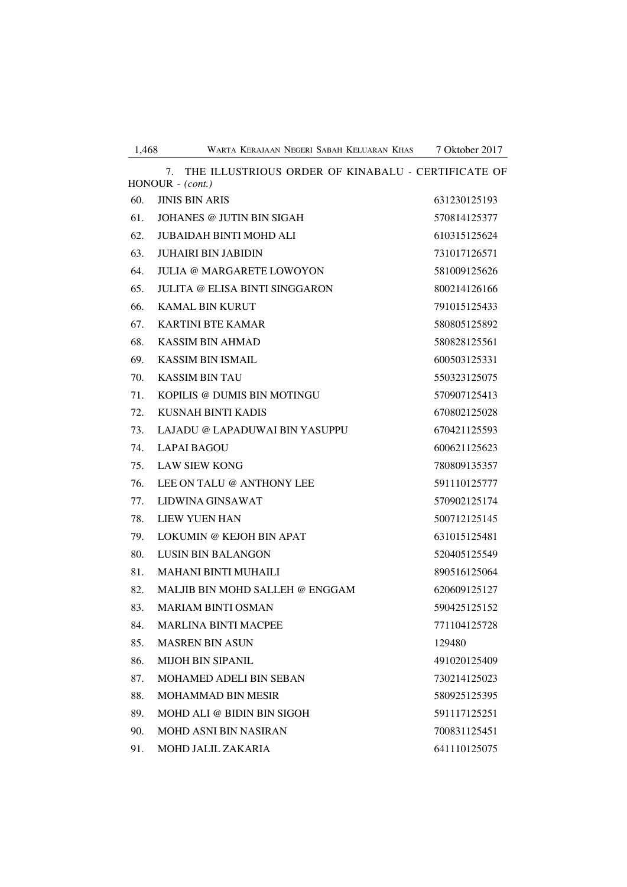|     | THE ILLUSTRIOUS ORDER OF KINABALU - CERTIFICATE OF<br>7.<br>HONOUR - (cont.) |              |
|-----|------------------------------------------------------------------------------|--------------|
| 60. | <b>JINIS BIN ARIS</b>                                                        | 631230125193 |
| 61. | JOHANES @ JUTIN BIN SIGAH                                                    | 570814125377 |
| 62. | <b>JUBAIDAH BINTI MOHD ALI</b>                                               | 610315125624 |
| 63. | <b>JUHAIRI BIN JABIDIN</b>                                                   | 731017126571 |
| 64. | <b>JULIA @ MARGARETE LOWOYON</b>                                             | 581009125626 |
| 65. | JULITA @ ELISA BINTI SINGGARON                                               | 800214126166 |
| 66. | <b>KAMAL BIN KURUT</b>                                                       | 791015125433 |
| 67. | <b>KARTINI BTE KAMAR</b>                                                     | 580805125892 |
| 68. | KASSIM BIN AHMAD                                                             | 580828125561 |
| 69. | <b>KASSIM BIN ISMAIL</b>                                                     | 600503125331 |
| 70. | <b>KASSIM BIN TAU</b>                                                        | 550323125075 |
| 71. | KOPILIS @ DUMIS BIN MOTINGU                                                  | 570907125413 |
| 72. | KUSNAH BINTI KADIS                                                           | 670802125028 |
| 73. | LAJADU @ LAPADUWAI BIN YASUPPU                                               | 670421125593 |
| 74. | <b>LAPAI BAGOU</b>                                                           | 600621125623 |
| 75. | <b>LAW SIEW KONG</b>                                                         | 780809135357 |
| 76. | LEE ON TALU @ ANTHONY LEE                                                    | 591110125777 |
| 77. | LIDWINA GINSAWAT                                                             | 570902125174 |
| 78. | <b>LIEW YUEN HAN</b>                                                         | 500712125145 |
| 79. | LOKUMIN @ KEJOH BIN APAT                                                     | 631015125481 |
| 80. | <b>LUSIN BIN BALANGON</b>                                                    | 520405125549 |
| 81. | <b>MAHANI BINTI MUHAILI</b>                                                  | 890516125064 |
| 82. | MALJIB BIN MOHD SALLEH @ ENGGAM                                              | 620609125127 |
| 83. | <b>MARIAM BINTI OSMAN</b>                                                    | 590425125152 |
| 84. | <b>MARLINA BINTI MACPEE</b>                                                  | 771104125728 |
| 85. | <b>MASREN BIN ASUN</b>                                                       | 129480       |
| 86. | <b>MIJOH BIN SIPANIL</b>                                                     | 491020125409 |
| 87. | MOHAMED ADELI BIN SEBAN                                                      | 730214125023 |
| 88. | <b>MOHAMMAD BIN MESIR</b>                                                    | 580925125395 |
| 89. | MOHD ALI @ BIDIN BIN SIGOH                                                   | 591117125251 |
| 90. | <b>MOHD ASNI BIN NASIRAN</b>                                                 | 700831125451 |
| 91. | <b>MOHD JALIL ZAKARIA</b>                                                    | 641110125075 |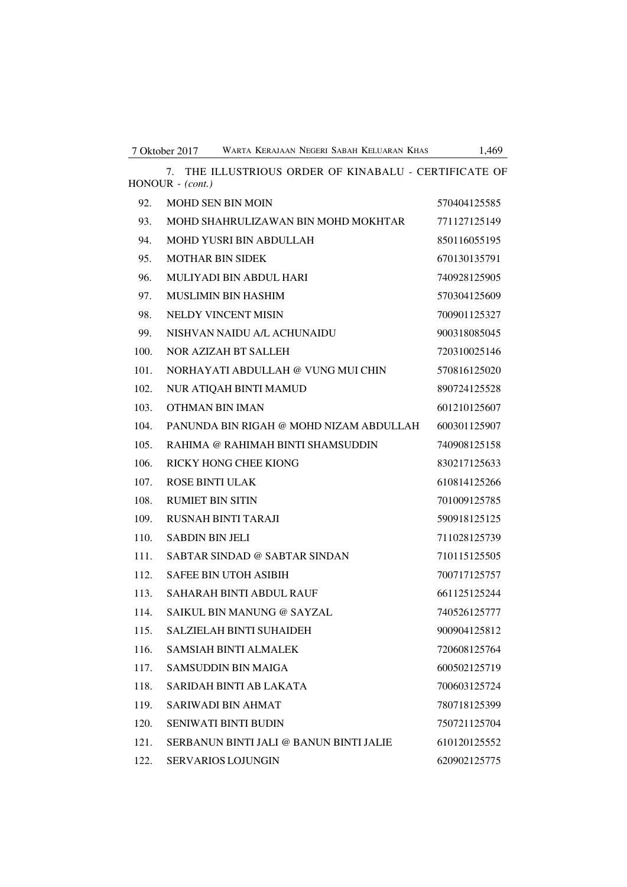7. THE ILLUSTRIOUS ORDER OF KINABALU - CERTIFICATE OF

HONOUR - *(cont.)* 92. MOHD SEN BIN MOIN 570404125585 93. MOHD SHAHRULIZAWAN BIN MOHD MOKHTAR 771127125149 94. MOHD YUSRI BIN ABDULLAH 850116055195 95. MOTHAR BIN SIDEK 670130135791 96. MULIYADI BIN ABDUL HARI 740928125905 97. MUSLIMIN BIN HASHIM 570304125609 98. NELDY VINCENT MISIN 700901125327 99. NISHVAN NAIDU A/L ACHUNAIDU 900318085045 100. NOR AZIZAH BT SALLEH 720310025146 101. NORHAYATI ABDULLAH @ VUNG MUI CHIN 570816125020 102. NUR ATIQAH BINTI MAMUD 890724125528 103. OTHMAN BIN IMAN 601210125607 104. PANUNDA BIN RIGAH @ MOHD NIZAM ABDULLAH 600301125907 105. RAHIMA @ RAHIMAH BINTI SHAMSUDDIN 740908125158 106. RICKY HONG CHEE KIONG 830217125633 107. ROSE BINTI ULAK 610814125266 108. RUMIET BIN SITIN 701009125785 109. RUSNAH BINTI TARAJI 590918125125 110. SABDIN BIN JELI 711028125739 111. SABTAR SINDAD @ SABTAR SINDAN 710115125505 112. SAFEE BIN UTOH ASIBIH 700717125757 113. SAHARAH BINTI ABDUL RAUF 661125125244 114. SAIKUL BIN MANUNG @ SAYZAL 740526125777 115. SALZIELAH BINTI SUHAIDEH 900904125812 116. SAMSIAH BINTI ALMALEK 720608125764 117. SAMSUDDIN BIN MAIGA 600502125719 118. SARIDAH BINTI AB LAKATA 700603125724 119. SARIWADI BIN AHMAT 780718125399 120. SENIWATI BINTI BUDIN 750721125704 121. SERBANUN BINTI JALI @ BANUN BINTI JALIE 610120125552

122. SERVARIOS LOJUNGIN 620902125775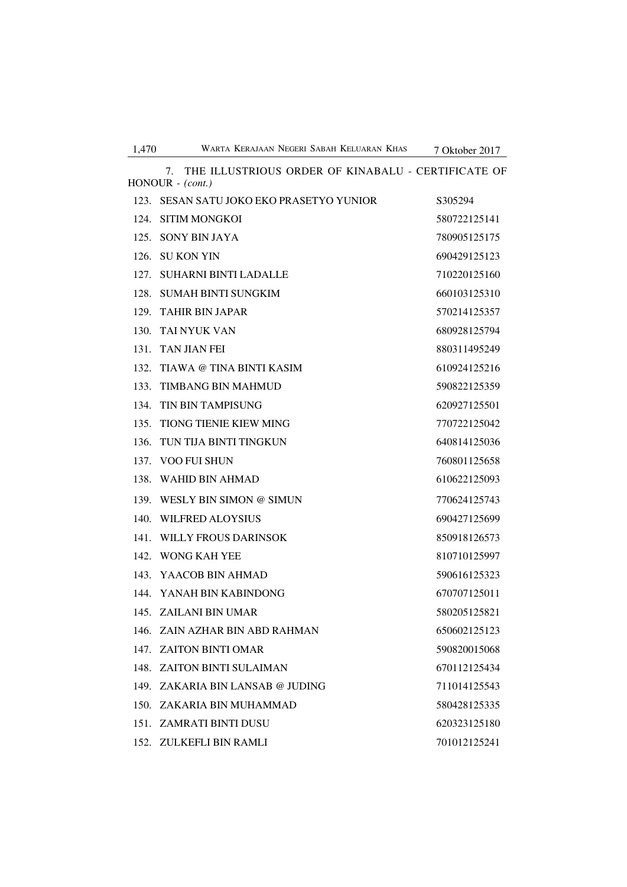| 1,470 | WARTA KERAJAAN NEGERI SABAH KELUARAN KHAS                                      | 7 Oktober 2017 |
|-------|--------------------------------------------------------------------------------|----------------|
|       | THE ILLUSTRIOUS ORDER OF KINABALU - CERTIFICATE OF<br>7.<br>$HONOUR - (cont.)$ |                |
|       | 123. SESAN SATU JOKO EKO PRASETYO YUNIOR                                       | S305294        |
| 124.  | <b>SITIM MONGKOI</b>                                                           | 580722125141   |
|       | 125. SONY BIN JAYA                                                             | 780905125175   |
| 126.  | <b>SU KON YIN</b>                                                              | 690429125123   |
| 127.  | <b>SUHARNI BINTI LADALLE</b>                                                   | 710220125160   |
|       | 128. SUMAH BINTI SUNGKIM                                                       | 660103125310   |
|       | 129. TAHIR BIN JAPAR                                                           | 570214125357   |
| 130.  | TAI NYUK VAN                                                                   | 680928125794   |
| 131.  | <b>TAN JIAN FEI</b>                                                            | 880311495249   |
| 132.  | TIAWA @ TINA BINTI KASIM                                                       | 610924125216   |
| 133.  | <b>TIMBANG BIN MAHMUD</b>                                                      | 590822125359   |
| 134.  | <b>TIN BIN TAMPISUNG</b>                                                       | 620927125501   |
| 135.  | <b>TIONG TIENIE KIEW MING</b>                                                  | 770722125042   |
| 136.  | TUN TIJA BINTI TINGKUN                                                         | 640814125036   |
|       | 137. VOO FUI SHUN                                                              | 760801125658   |
| 138.  | WAHID BIN AHMAD                                                                | 610622125093   |
| 139.  | WESLY BIN SIMON @ SIMUN                                                        | 770624125743   |
| 140.  | <b>WILFRED ALOYSIUS</b>                                                        | 690427125699   |
| 141.  | <b>WILLY FROUS DARINSOK</b>                                                    | 850918126573   |
|       | 142. WONG KAH YEE                                                              | 810710125997   |
|       | 143. YAACOB BIN AHMAD                                                          | 590616125323   |
|       | 144. YANAH BIN KABINDONG                                                       | 670707125011   |
|       | 145 ZAILANI BIN UMAR                                                           | 580205125821   |
|       | 146. ZAIN AZHAR BIN ABD RAHMAN                                                 | 650602125123   |
|       | 147. ZAITON BINTI OMAR                                                         | 590820015068   |
|       | 148. ZAITON BINTI SULAIMAN                                                     | 670112125434   |
|       | 149. ZAKARIA BIN LANSAB @ JUDING                                               | 711014125543   |
|       | 150. ZAKARIA BIN MUHAMMAD                                                      | 580428125335   |
|       | 151. ZAMRATI BINTI DUSU                                                        | 620323125180   |
|       | 152. ZULKEFLI BIN RAMLI                                                        | 701012125241   |